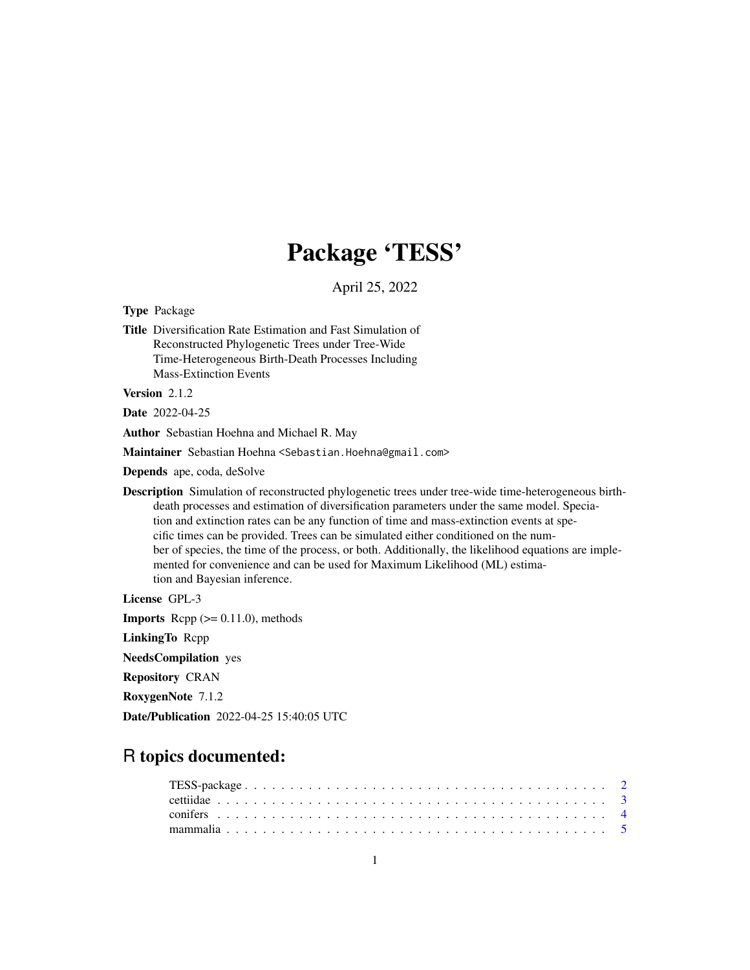# Package 'TESS'

April 25, 2022

<span id="page-0-0"></span>Type Package

Title Diversification Rate Estimation and Fast Simulation of Reconstructed Phylogenetic Trees under Tree-Wide Time-Heterogeneous Birth-Death Processes Including Mass-Extinction Events

Version 2.1.2

Date 2022-04-25

Author Sebastian Hoehna and Michael R. May

Maintainer Sebastian Hoehna <Sebastian.Hoehna@gmail.com>

Depends ape, coda, deSolve

Description Simulation of reconstructed phylogenetic trees under tree-wide time-heterogeneous birthdeath processes and estimation of diversification parameters under the same model. Speciation and extinction rates can be any function of time and mass-extinction events at specific times can be provided. Trees can be simulated either conditioned on the number of species, the time of the process, or both. Additionally, the likelihood equations are implemented for convenience and can be used for Maximum Likelihood (ML) estimation and Bayesian inference.

License GPL-3

**Imports** Rcpp  $(>= 0.11.0)$ , methods

LinkingTo Rcpp

NeedsCompilation yes

Repository CRAN

RoxygenNote 7.1.2

Date/Publication 2022-04-25 15:40:05 UTC

# R topics documented: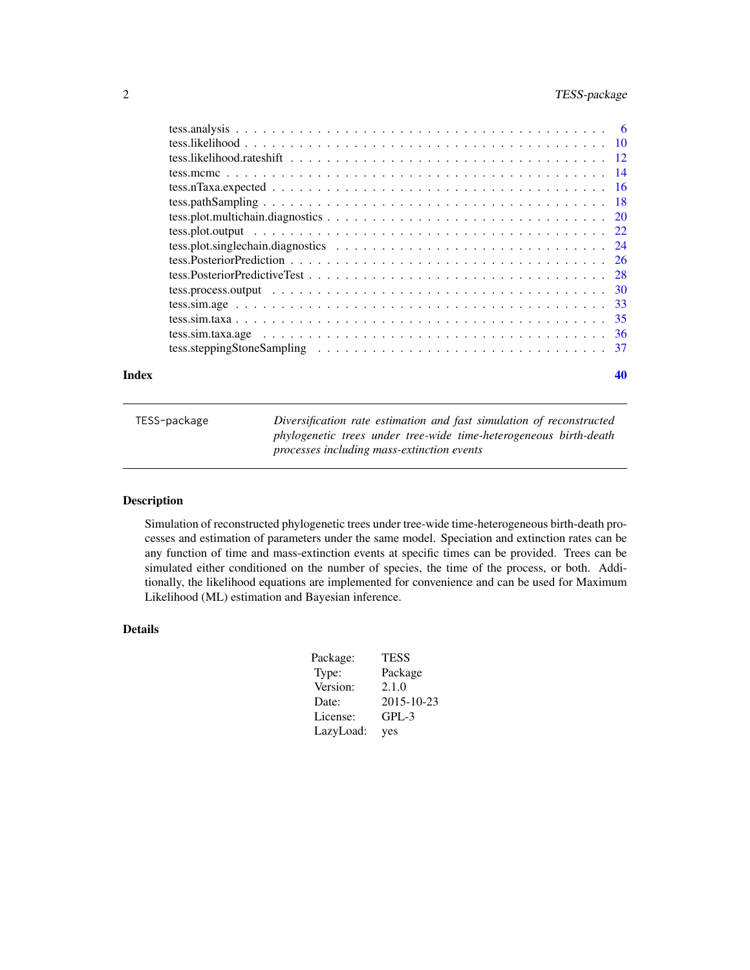# <span id="page-1-0"></span>2 TESS-package

#### $\blacksquare$

TESS-package *Diversification rate estimation and fast simulation of reconstructed phylogenetic trees under tree-wide time-heterogeneous birth-death processes including mass-extinction events*

# Description

Simulation of reconstructed phylogenetic trees under tree-wide time-heterogeneous birth-death processes and estimation of parameters under the same model. Speciation and extinction rates can be any function of time and mass-extinction events at specific times can be provided. Trees can be simulated either conditioned on the number of species, the time of the process, or both. Additionally, the likelihood equations are implemented for convenience and can be used for Maximum Likelihood (ML) estimation and Bayesian inference.

# Details

| Package:  | <b>TESS</b> |
|-----------|-------------|
| Type:     | Package     |
| Version:  | 2.1.0       |
| Date:     | 2015-10-23  |
| License:  | $GPL-3$     |
| LazyLoad: | yes         |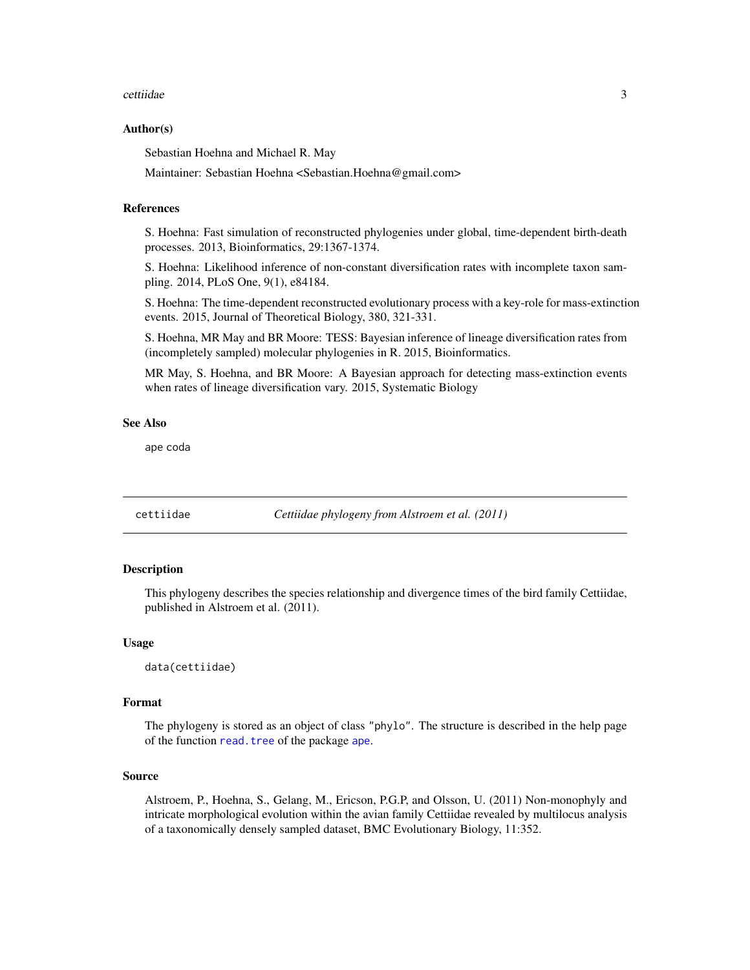#### <span id="page-2-0"></span>cettiidae 3

#### Author(s)

Sebastian Hoehna and Michael R. May

Maintainer: Sebastian Hoehna <Sebastian.Hoehna@gmail.com>

# References

S. Hoehna: Fast simulation of reconstructed phylogenies under global, time-dependent birth-death processes. 2013, Bioinformatics, 29:1367-1374.

S. Hoehna: Likelihood inference of non-constant diversification rates with incomplete taxon sampling. 2014, PLoS One, 9(1), e84184.

S. Hoehna: The time-dependent reconstructed evolutionary process with a key-role for mass-extinction events. 2015, Journal of Theoretical Biology, 380, 321-331.

S. Hoehna, MR May and BR Moore: TESS: Bayesian inference of lineage diversification rates from (incompletely sampled) molecular phylogenies in R. 2015, Bioinformatics.

MR May, S. Hoehna, and BR Moore: A Bayesian approach for detecting mass-extinction events when rates of lineage diversification vary. 2015, Systematic Biology

#### See Also

ape coda

cettiidae *Cettiidae phylogeny from Alstroem et al. (2011)*

## Description

This phylogeny describes the species relationship and divergence times of the bird family Cettiidae, published in Alstroem et al. (2011).

#### Usage

data(cettiidae)

## Format

The phylogeny is stored as an object of class "phylo". The structure is described in the help page of the function [read.tree](#page-0-0) of the package [ape](#page-0-0).

#### Source

Alstroem, P., Hoehna, S., Gelang, M., Ericson, P.G.P, and Olsson, U. (2011) Non-monophyly and intricate morphological evolution within the avian family Cettiidae revealed by multilocus analysis of a taxonomically densely sampled dataset, BMC Evolutionary Biology, 11:352.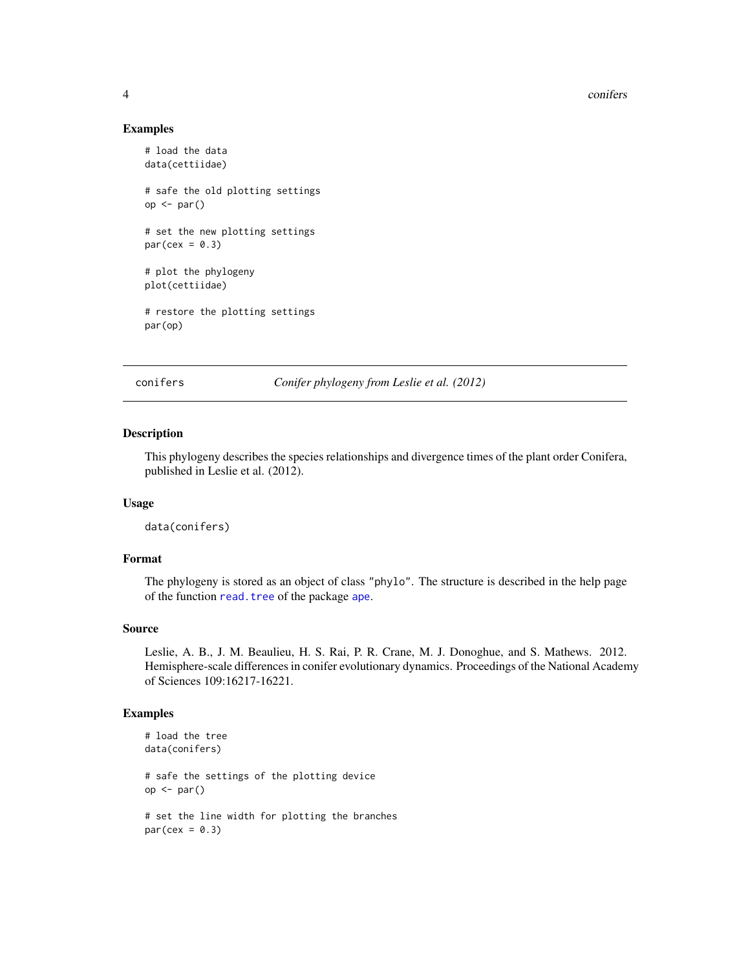4 confers and  $\sim$  conferse and  $\sim$  conferse and  $\sim$  confers and  $\sim$  confers and  $\sim$  confers and  $\sim$  confers and  $\sim$  confers and  $\sim$  confers and  $\sim$  confers and  $\sim$  confers and  $\sim$  confers and  $\sim$  confers and  $\$ 

### Examples

```
# load the data
data(cettiidae)
# safe the old plotting settings
op <- par()
# set the new plotting settings
par(cex = 0.3)# plot the phylogeny
plot(cettiidae)
# restore the plotting settings
par(op)
```
conifers *Conifer phylogeny from Leslie et al. (2012)*

#### Description

This phylogeny describes the species relationships and divergence times of the plant order Conifera, published in Leslie et al. (2012).

# Usage

data(conifers)

## Format

The phylogeny is stored as an object of class "phylo". The structure is described in the help page of the function [read.tree](#page-0-0) of the package [ape](#page-0-0).

## Source

Leslie, A. B., J. M. Beaulieu, H. S. Rai, P. R. Crane, M. J. Donoghue, and S. Mathews. 2012. Hemisphere-scale differences in conifer evolutionary dynamics. Proceedings of the National Academy of Sciences 109:16217-16221.

```
# load the tree
data(conifers)
# safe the settings of the plotting device
op <- par()
# set the line width for plotting the branches
par(cex = 0.3)
```
<span id="page-3-0"></span>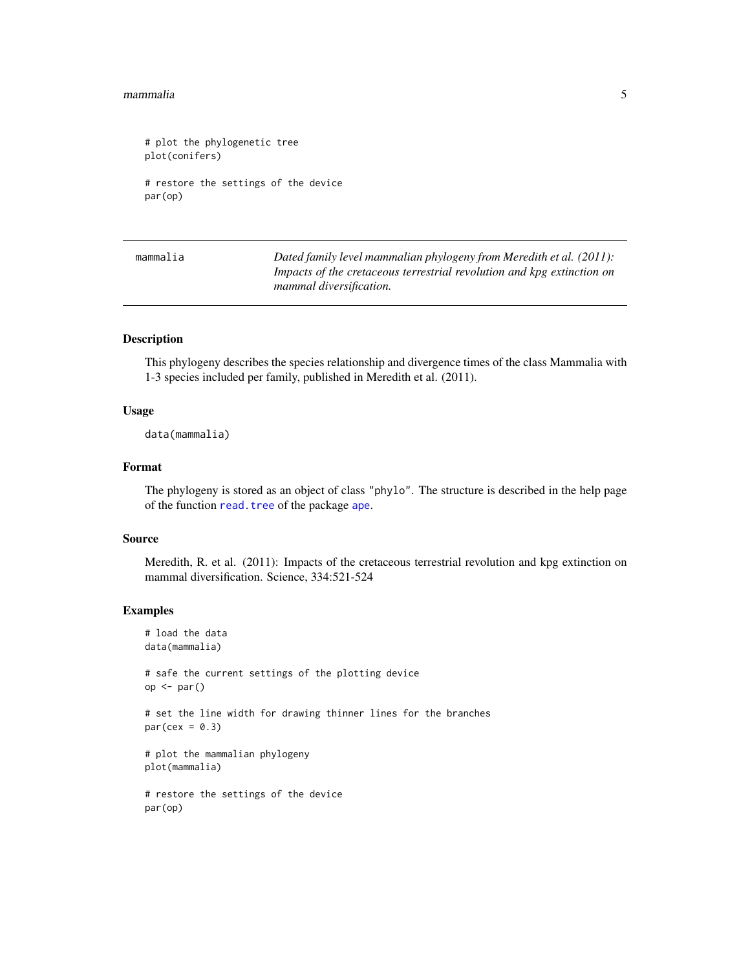#### <span id="page-4-0"></span>mammalia 5

```
# plot the phylogenetic tree
plot(conifers)
# restore the settings of the device
par(op)
```
mammalia *Dated family level mammalian phylogeny from Meredith et al. (2011): Impacts of the cretaceous terrestrial revolution and kpg extinction on mammal diversification.*

#### Description

This phylogeny describes the species relationship and divergence times of the class Mammalia with 1-3 species included per family, published in Meredith et al. (2011).

## Usage

data(mammalia)

# Format

The phylogeny is stored as an object of class "phylo". The structure is described in the help page of the function read. tree of the package [ape](#page-0-0).

#### Source

Meredith, R. et al. (2011): Impacts of the cretaceous terrestrial revolution and kpg extinction on mammal diversification. Science, 334:521-524

```
# load the data
data(mammalia)
# safe the current settings of the plotting device
op <- par()
# set the line width for drawing thinner lines for the branches
par(cex = 0.3)# plot the mammalian phylogeny
plot(mammalia)
# restore the settings of the device
par(op)
```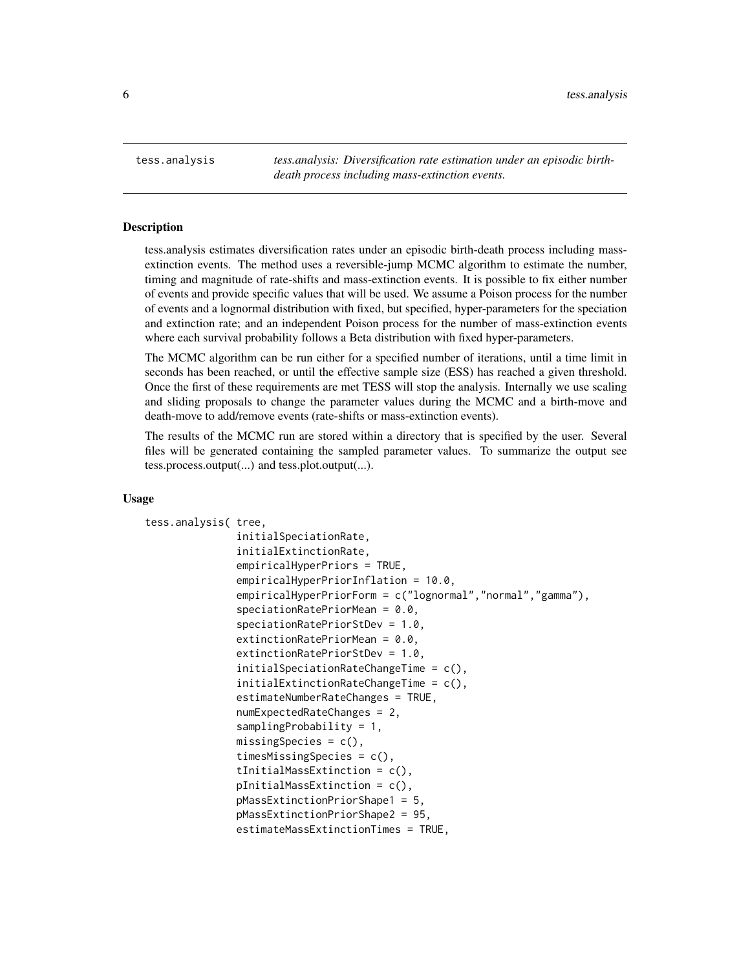<span id="page-5-0"></span>tess.analysis *tess.analysis: Diversification rate estimation under an episodic birthdeath process including mass-extinction events.*

#### **Description**

tess.analysis estimates diversification rates under an episodic birth-death process including massextinction events. The method uses a reversible-jump MCMC algorithm to estimate the number, timing and magnitude of rate-shifts and mass-extinction events. It is possible to fix either number of events and provide specific values that will be used. We assume a Poison process for the number of events and a lognormal distribution with fixed, but specified, hyper-parameters for the speciation and extinction rate; and an independent Poison process for the number of mass-extinction events where each survival probability follows a Beta distribution with fixed hyper-parameters.

The MCMC algorithm can be run either for a specified number of iterations, until a time limit in seconds has been reached, or until the effective sample size (ESS) has reached a given threshold. Once the first of these requirements are met TESS will stop the analysis. Internally we use scaling and sliding proposals to change the parameter values during the MCMC and a birth-move and death-move to add/remove events (rate-shifts or mass-extinction events).

The results of the MCMC run are stored within a directory that is specified by the user. Several files will be generated containing the sampled parameter values. To summarize the output see tess.process.output(...) and tess.plot.output(...).

#### Usage

```
tess.analysis( tree,
               initialSpeciationRate,
               initialExtinctionRate,
               empiricalHyperPriors = TRUE,
               empiricalHyperPriorInflation = 10.0,
               empiricalHyperPriorForm = c("lognormal","normal","gamma"),
               speciationRatePriorMean = 0.0,
               speciationRatePriorStDev = 1.0,
               extinctionRatePriorMean = 0.0,
               extinctionRatePriorStDev = 1.0,
               initialSpeciationRateChangeTime = c(),
               initialExtinctionRateChangeTime = c(),
               estimateNumberRateChanges = TRUE,
               numExpectedRateChanges = 2,
               samplingProbability = 1,
               missingSpecies = c(),
               timesMissingSpecies = c(),
               tInitialMassExtinction = c(),
               pInitialMassExtinction = c(),
               pMassExtinctionPriorShape1 = 5,
               pMassExtinctionPriorShape2 = 95,
               estimateMassExtinctionTimes = TRUE,
```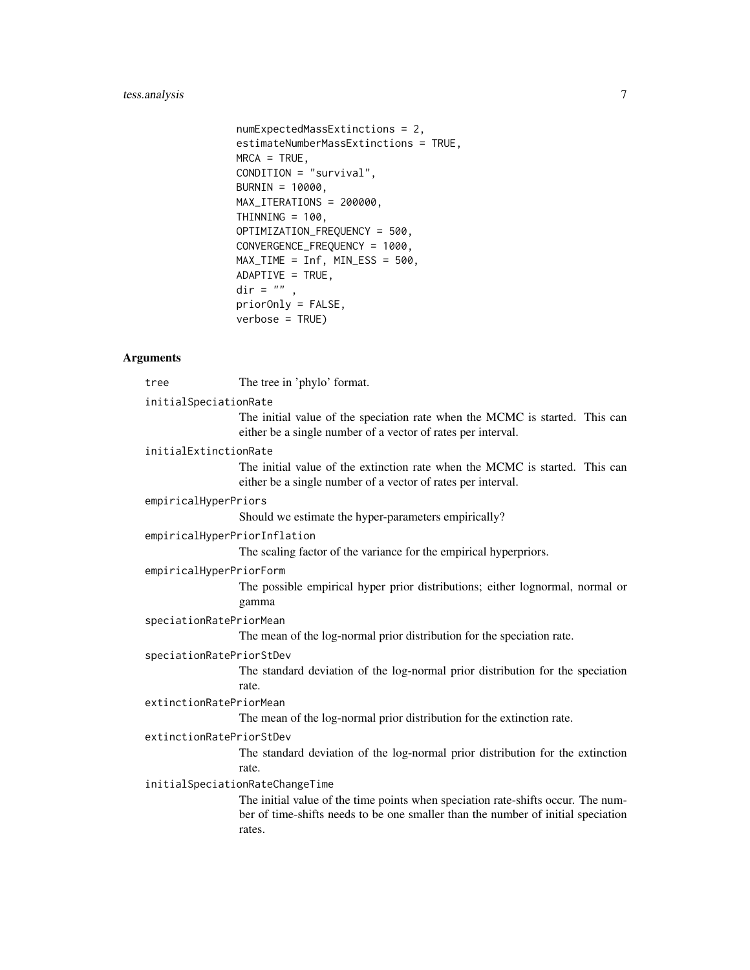# tess.analysis 7

```
numExpectedMassExtinctions = 2,
estimateNumberMassExtinctions = TRUE,
MRCA = TRUE,
CONDITION = "survival",
BURNIN = 10000,
MAX_ITERATIONS = 200000,
THINNING = 100,
OPTIMIZATION_FREQUENCY = 500,
CONVERGENCE_FREQUENCY = 1000,
MAX_TIME = Inf, MIN_ESS = 500,
ADAPTIVE = TRUE,dir = ",
priorOnly = FALSE,
verbose = TRUE)
```
## Arguments

tree The tree in 'phylo' format.

## initialSpeciationRate

The initial value of the speciation rate when the MCMC is started. This can either be a single number of a vector of rates per interval.

#### initialExtinctionRate

The initial value of the extinction rate when the MCMC is started. This can either be a single number of a vector of rates per interval.

#### empiricalHyperPriors

Should we estimate the hyper-parameters empirically?

#### empiricalHyperPriorInflation

The scaling factor of the variance for the empirical hyperpriors.

#### empiricalHyperPriorForm

The possible empirical hyper prior distributions; either lognormal, normal or gamma

#### speciationRatePriorMean

The mean of the log-normal prior distribution for the speciation rate.

#### speciationRatePriorStDev

The standard deviation of the log-normal prior distribution for the speciation rate.

# extinctionRatePriorMean

The mean of the log-normal prior distribution for the extinction rate.

#### extinctionRatePriorStDev

The standard deviation of the log-normal prior distribution for the extinction rate.

# initialSpeciationRateChangeTime

The initial value of the time points when speciation rate-shifts occur. The number of time-shifts needs to be one smaller than the number of initial speciation rates.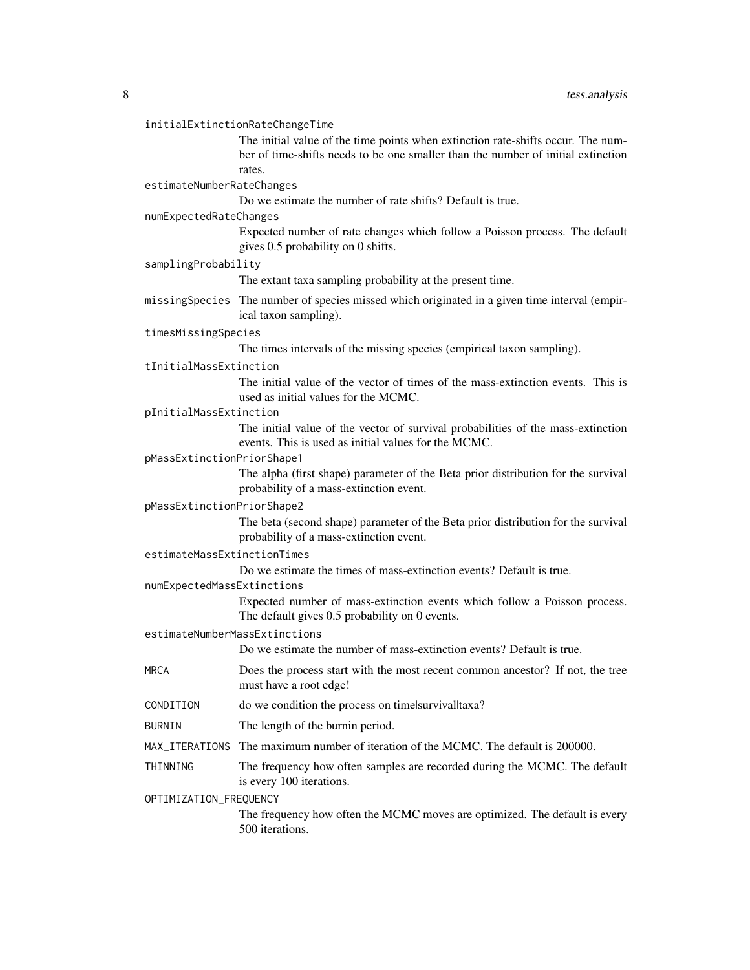#### initialExtinctionRateChangeTime

The initial value of the time points when extinction rate-shifts occur. The number of time-shifts needs to be one smaller than the number of initial extinction rates.

estimateNumberRateChanges

Do we estimate the number of rate shifts? Default is true.

#### numExpectedRateChanges

Expected number of rate changes which follow a Poisson process. The default gives 0.5 probability on 0 shifts.

samplingProbability

The extant taxa sampling probability at the present time.

missingSpecies The number of species missed which originated in a given time interval (empirical taxon sampling).

#### timesMissingSpecies

The times intervals of the missing species (empirical taxon sampling).

#### tInitialMassExtinction

The initial value of the vector of times of the mass-extinction events. This is used as initial values for the MCMC.

#### pInitialMassExtinction

The initial value of the vector of survival probabilities of the mass-extinction events. This is used as initial values for the MCMC.

## pMassExtinctionPriorShape1

The alpha (first shape) parameter of the Beta prior distribution for the survival probability of a mass-extinction event.

# pMassExtinctionPriorShape2

The beta (second shape) parameter of the Beta prior distribution for the survival probability of a mass-extinction event.

# estimateMassExtinctionTimes

Do we estimate the times of mass-extinction events? Default is true.

numExpectedMassExtinctions

Expected number of mass-extinction events which follow a Poisson process. The default gives 0.5 probability on 0 events.

#### estimateNumberMassExtinctions

Do we estimate the number of mass-extinction events? Default is true.

- MRCA Does the process start with the most recent common ancestor? If not, the tree must have a root edge!
- CONDITION do we condition the process on time|survival|taxa?
- BURNIN The length of the burnin period.
- MAX\_ITERATIONS The maximum number of iteration of the MCMC. The default is 200000.
- THINNING The frequency how often samples are recorded during the MCMC. The default is every 100 iterations.

# OPTIMIZATION\_FREQUENCY

The frequency how often the MCMC moves are optimized. The default is every 500 iterations.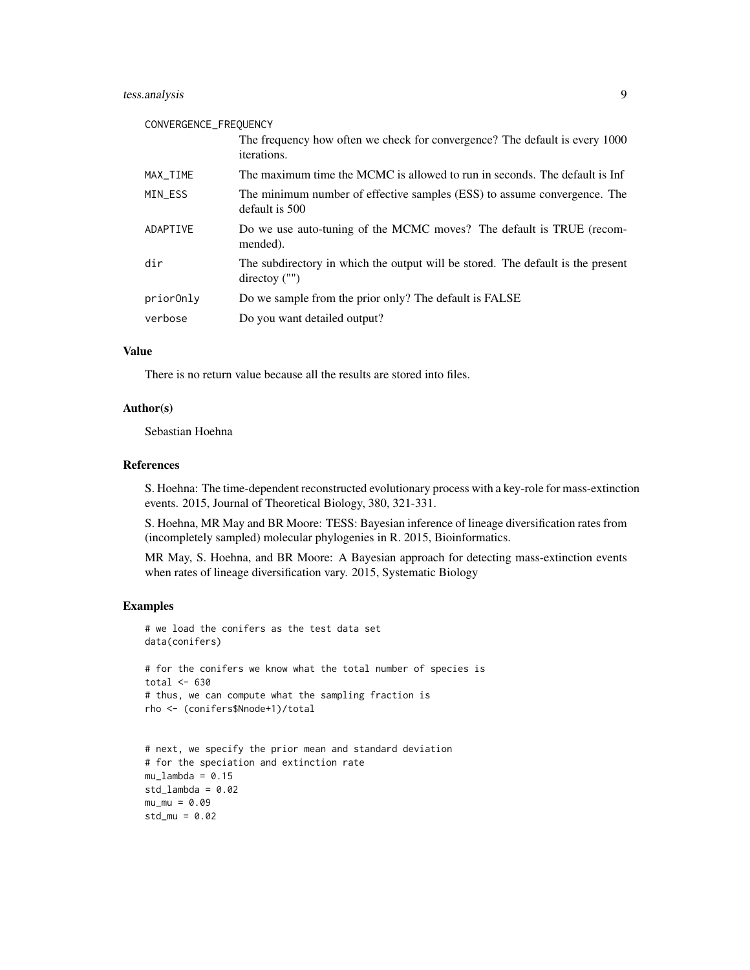# tess.analysis 9

#### CONVERGENCE\_FREQUENCY

|           | The frequency how often we check for convergence? The default is every 1000<br>iterations.                 |
|-----------|------------------------------------------------------------------------------------------------------------|
| MAX_TIME  | The maximum time the MCMC is allowed to run in seconds. The default is Inf                                 |
| MIN_ESS   | The minimum number of effective samples (ESS) to assume convergence. The<br>default is 500                 |
| ADAPTIVE  | Do we use auto-tuning of the MCMC moves? The default is TRUE (recom-<br>mended).                           |
| dir       | The subdirectory in which the output will be stored. The default is the present<br>$\text{directory}$ ("") |
| priorOnly | Do we sample from the prior only? The default is FALSE                                                     |
| verbose   | Do you want detailed output?                                                                               |

# Value

There is no return value because all the results are stored into files.

#### Author(s)

Sebastian Hoehna

# References

S. Hoehna: The time-dependent reconstructed evolutionary process with a key-role for mass-extinction events. 2015, Journal of Theoretical Biology, 380, 321-331.

S. Hoehna, MR May and BR Moore: TESS: Bayesian inference of lineage diversification rates from (incompletely sampled) molecular phylogenies in R. 2015, Bioinformatics.

MR May, S. Hoehna, and BR Moore: A Bayesian approach for detecting mass-extinction events when rates of lineage diversification vary. 2015, Systematic Biology

```
# we load the conifers as the test data set
data(conifers)
# for the conifers we know what the total number of species is
total <-630# thus, we can compute what the sampling fraction is
rho <- (conifers$Nnode+1)/total
# next, we specify the prior mean and standard deviation
```

```
# for the speciation and extinction rate
mu_lambda = 0.15
std_lambda = 0.02mu_m = 0.09std_mu = 0.02
```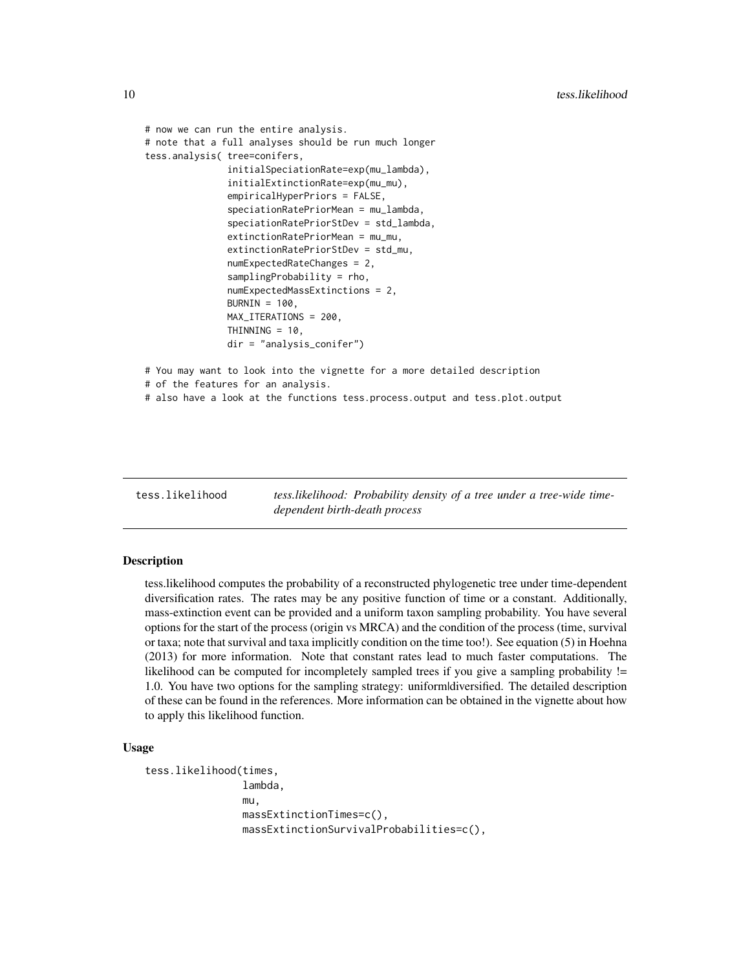```
# now we can run the entire analysis.
# note that a full analyses should be run much longer
tess.analysis( tree=conifers,
               initialSpeciationRate=exp(mu_lambda),
               initialExtinctionRate=exp(mu_mu),
               empiricalHyperPriors = FALSE,
               speciationRatePriorMean = mu_lambda,
               speciationRatePriorStDev = std_lambda,
               extinctionRatePriorMean = mu_mu,
               extinctionRatePriorStDev = std_mu,
               numExpectedRateChanges = 2,
               samplingProbability = rho,
               numExpectedMassExtinctions = 2,
               BURNIN = 100,
               MAX_ITERATIONS = 200,
               THINNING = 10,
               dir = "analysis_conifer")
# You may want to look into the vignette for a more detailed description
# of the features for an analysis.
# also have a look at the functions tess.process.output and tess.plot.output
```
tess.likelihood *tess.likelihood: Probability density of a tree under a tree-wide timedependent birth-death process*

### Description

tess.likelihood computes the probability of a reconstructed phylogenetic tree under time-dependent diversification rates. The rates may be any positive function of time or a constant. Additionally, mass-extinction event can be provided and a uniform taxon sampling probability. You have several options for the start of the process (origin vs MRCA) and the condition of the process (time, survival or taxa; note that survival and taxa implicitly condition on the time too!). See equation (5) in Hoehna (2013) for more information. Note that constant rates lead to much faster computations. The likelihood can be computed for incompletely sampled trees if you give a sampling probability != 1.0. You have two options for the sampling strategy: uniform|diversified. The detailed description of these can be found in the references. More information can be obtained in the vignette about how to apply this likelihood function.

## Usage

```
tess.likelihood(times,
                lambda,
                mu,
                massExtinctionTimes=c(),
                massExtinctionSurvivalProbabilities=c(),
```
<span id="page-9-0"></span>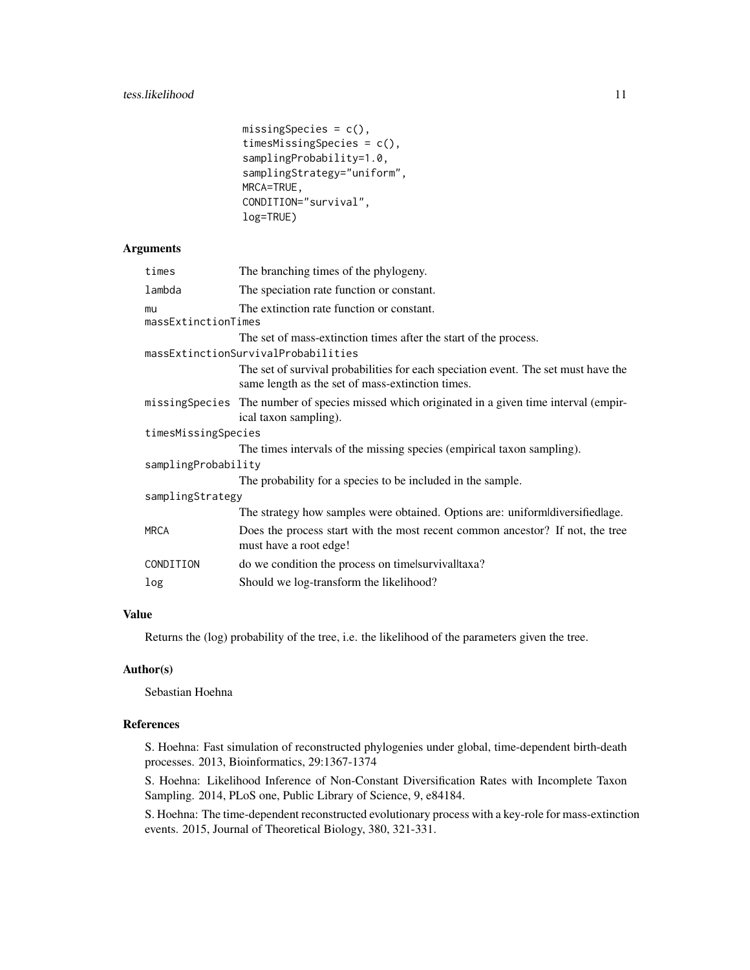```
missingSpecies = c(),
timesMissingSpecies = c(),
samplingProbability=1.0,
samplingStrategy="uniform",
MRCA=TRUE,
CONDITION="survival",
log=TRUE)
```
# Arguments

| times                     | The branching times of the phylogeny.                                                                                                  |
|---------------------------|----------------------------------------------------------------------------------------------------------------------------------------|
| lambda                    | The speciation rate function or constant.                                                                                              |
| mu<br>massExtinctionTimes | The extinction rate function or constant.                                                                                              |
|                           | The set of mass-extinction times after the start of the process.                                                                       |
|                           | massExtinctionSurvivalProbabilities                                                                                                    |
|                           | The set of survival probabilities for each speciation event. The set must have the<br>same length as the set of mass-extinction times. |
|                           | missing Species The number of species missed which originated in a given time interval (empir-<br>ical taxon sampling).                |
| timesMissingSpecies       |                                                                                                                                        |
|                           | The times intervals of the missing species (empirical taxon sampling).                                                                 |
| samplingProbability       |                                                                                                                                        |
|                           | The probability for a species to be included in the sample.                                                                            |
| samplingStrategy          |                                                                                                                                        |
|                           | The strategy how samples were obtained. Options are: uniform diversified lage.                                                         |
| <b>MRCA</b>               | Does the process start with the most recent common ancestor? If not, the tree<br>must have a root edge!                                |
| CONDITION                 | do we condition the process on time survival taxa?                                                                                     |
| log                       | Should we log-transform the likelihood?                                                                                                |

# Value

Returns the (log) probability of the tree, i.e. the likelihood of the parameters given the tree.

#### Author(s)

Sebastian Hoehna

#### References

S. Hoehna: Fast simulation of reconstructed phylogenies under global, time-dependent birth-death processes. 2013, Bioinformatics, 29:1367-1374

S. Hoehna: Likelihood Inference of Non-Constant Diversification Rates with Incomplete Taxon Sampling. 2014, PLoS one, Public Library of Science, 9, e84184.

S. Hoehna: The time-dependent reconstructed evolutionary process with a key-role for mass-extinction events. 2015, Journal of Theoretical Biology, 380, 321-331.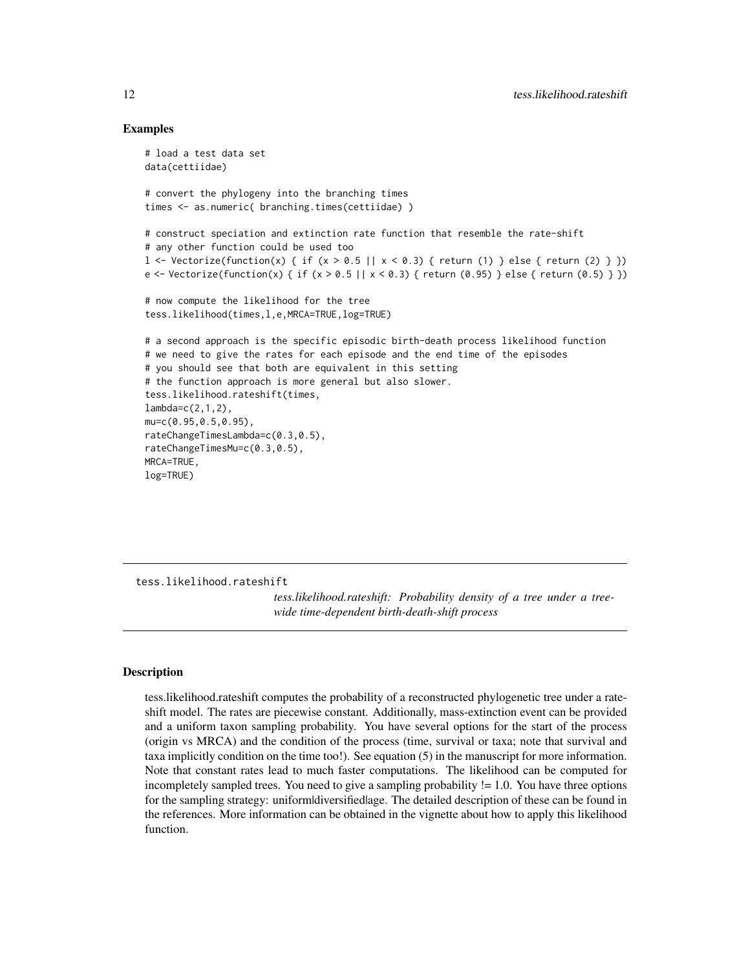## Examples

```
# load a test data set
data(cettiidae)
# convert the phylogeny into the branching times
times <- as.numeric( branching.times(cettiidae) )
# construct speciation and extinction rate function that resemble the rate-shift
# any other function could be used too
l <- Vectorize(function(x) { if (x > 0.5 || x < 0.3) { return (1) } else { return (2) } })
e <- Vectorize(function(x) { if (x > 0.5 || x < 0.3) { return (0.95) } else { return (0.5) } })
# now compute the likelihood for the tree
tess.likelihood(times,l,e,MRCA=TRUE,log=TRUE)
# a second approach is the specific episodic birth-death process likelihood function
# we need to give the rates for each episode and the end time of the episodes
# you should see that both are equivalent in this setting
# the function approach is more general but also slower.
tess.likelihood.rateshift(times,
lambda=c(2,1,2),
mu=c(0.95,0.5,0.95),
rateChangeTimesLambda=c(0.3,0.5),
rateChangeTimesMu=c(0.3,0.5),
MRCA=TRUE,
log=TRUE)
```
tess.likelihood.rateshift

*tess.likelihood.rateshift: Probability density of a tree under a treewide time-dependent birth-death-shift process*

#### Description

tess.likelihood.rateshift computes the probability of a reconstructed phylogenetic tree under a rateshift model. The rates are piecewise constant. Additionally, mass-extinction event can be provided and a uniform taxon sampling probability. You have several options for the start of the process (origin vs MRCA) and the condition of the process (time, survival or taxa; note that survival and taxa implicitly condition on the time too!). See equation (5) in the manuscript for more information. Note that constant rates lead to much faster computations. The likelihood can be computed for incompletely sampled trees. You need to give a sampling probability != 1.0. You have three options for the sampling strategy: uniform|diversified|age. The detailed description of these can be found in the references. More information can be obtained in the vignette about how to apply this likelihood function.

<span id="page-11-0"></span>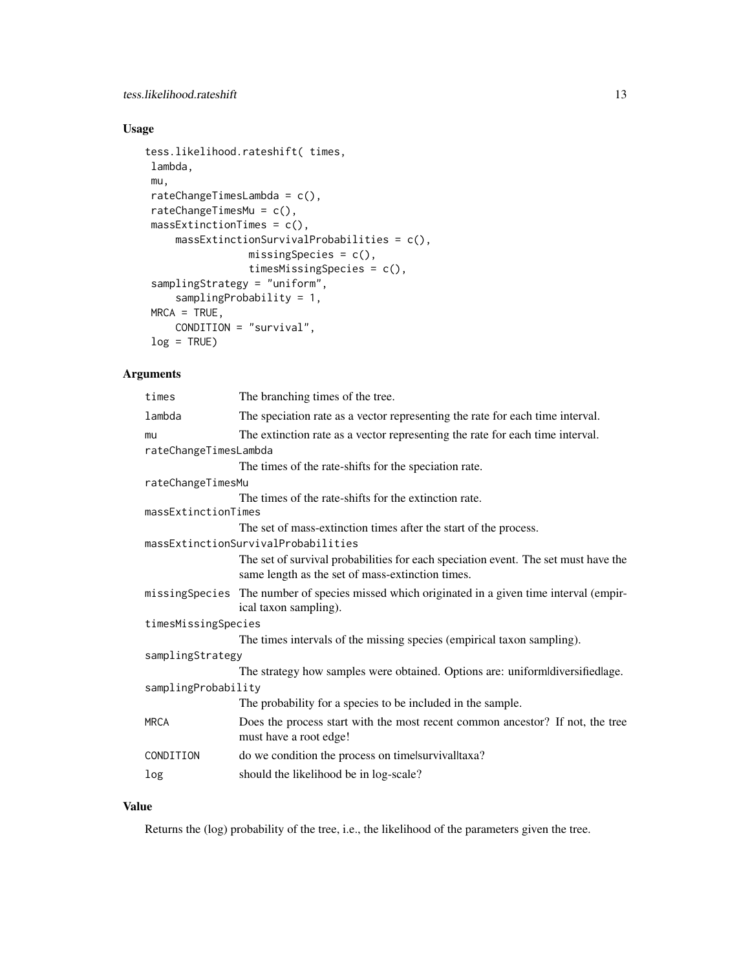# Usage

```
tess.likelihood.rateshift( times,
lambda,
mu,
rateChangeTimesLambda = c(),
rateChangeTimesMu = c(),
massExtinctionTimes = c(),massExtinctionSurvivalProbabilities = c(),
                missingSpecies = c(),
                timesMissingSpecies = c(),
samplingStrategy = "uniform",
     samplingProbability = 1,
MRCA = TRUE,CONDITION = "survival",
log = TRUE)
```
# Arguments

| times                 | The branching times of the tree.                                                                                                       |
|-----------------------|----------------------------------------------------------------------------------------------------------------------------------------|
| lambda                | The speciation rate as a vector representing the rate for each time interval.                                                          |
| mu                    | The extinction rate as a vector representing the rate for each time interval.                                                          |
| rateChangeTimesLambda |                                                                                                                                        |
|                       | The times of the rate-shifts for the speciation rate.                                                                                  |
| rateChangeTimesMu     |                                                                                                                                        |
|                       | The times of the rate-shifts for the extinction rate.                                                                                  |
| massExtinctionTimes   |                                                                                                                                        |
|                       | The set of mass-extinction times after the start of the process.                                                                       |
|                       | massExtinctionSurvivalProbabilities                                                                                                    |
|                       | The set of survival probabilities for each speciation event. The set must have the<br>same length as the set of mass-extinction times. |
|                       | missing Species The number of species missed which originated in a given time interval (empir-<br>ical taxon sampling).                |
| timesMissingSpecies   |                                                                                                                                        |
|                       | The times intervals of the missing species (empirical taxon sampling).                                                                 |
| samplingStrategy      |                                                                                                                                        |
|                       | The strategy how samples were obtained. Options are: uniformldiversifiedlage.                                                          |
| samplingProbability   |                                                                                                                                        |
|                       | The probability for a species to be included in the sample.                                                                            |
| <b>MRCA</b>           | Does the process start with the most recent common ancestor? If not, the tree<br>must have a root edge!                                |
| CONDITION             | do we condition the process on timelsurvivalltaxa?                                                                                     |
| log                   | should the likelihood be in log-scale?                                                                                                 |

# Value

Returns the (log) probability of the tree, i.e., the likelihood of the parameters given the tree.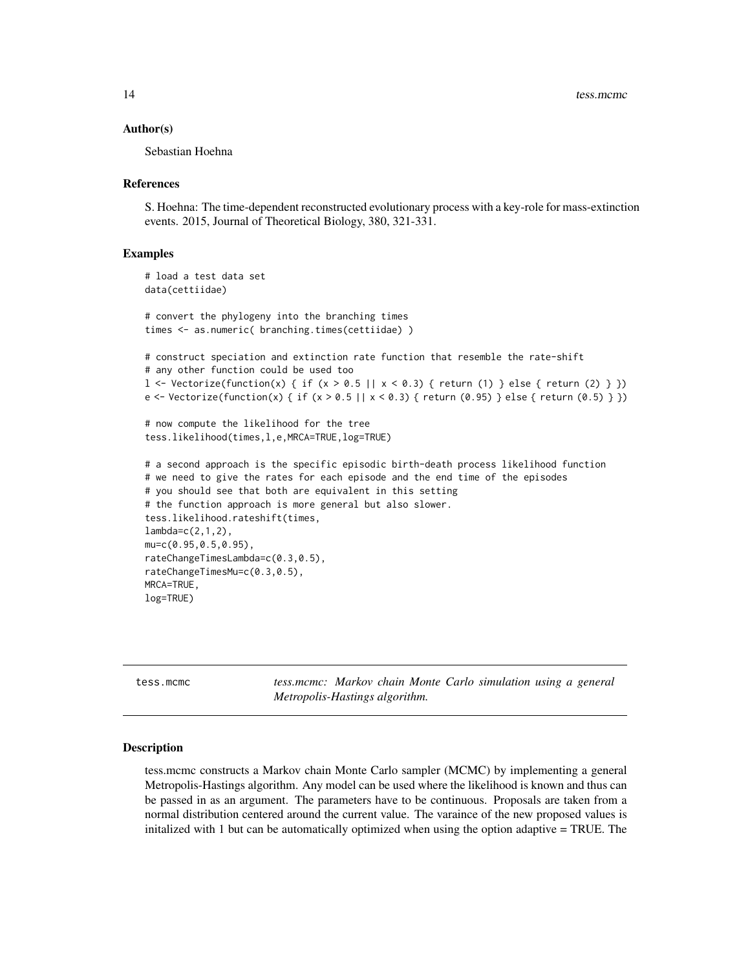#### <span id="page-13-0"></span>Author(s)

Sebastian Hoehna

#### References

S. Hoehna: The time-dependent reconstructed evolutionary process with a key-role for mass-extinction events. 2015, Journal of Theoretical Biology, 380, 321-331.

#### Examples

```
# load a test data set
data(cettiidae)
# convert the phylogeny into the branching times
times <- as.numeric( branching.times(cettiidae) )
# construct speciation and extinction rate function that resemble the rate-shift
# any other function could be used too
l \leq Vectorize(function(x) { if (x > 0.5 || x < 0.3) { return (1) } else { return (2) } })
e <- Vectorize(function(x) { if (x > 0.5 || x < 0.3) { return (0.95) } else { return (0.5) } })
# now compute the likelihood for the tree
tess.likelihood(times,l,e,MRCA=TRUE,log=TRUE)
# a second approach is the specific episodic birth-death process likelihood function
# we need to give the rates for each episode and the end time of the episodes
# you should see that both are equivalent in this setting
# the function approach is more general but also slower.
tess.likelihood.rateshift(times,
lambda=c(2,1,2),
mu=c(0.95,0.5,0.95),
rateChangeTimesLambda=c(0.3,0.5),
rateChangeTimesMu=c(0.3,0.5),
MRCA=TRUE,
log=TRUE)
```
tess.mcmc *tess.mcmc: Markov chain Monte Carlo simulation using a general Metropolis-Hastings algorithm.*

#### Description

tess.mcmc constructs a Markov chain Monte Carlo sampler (MCMC) by implementing a general Metropolis-Hastings algorithm. Any model can be used where the likelihood is known and thus can be passed in as an argument. The parameters have to be continuous. Proposals are taken from a normal distribution centered around the current value. The varaince of the new proposed values is initalized with 1 but can be automatically optimized when using the option adaptive = TRUE. The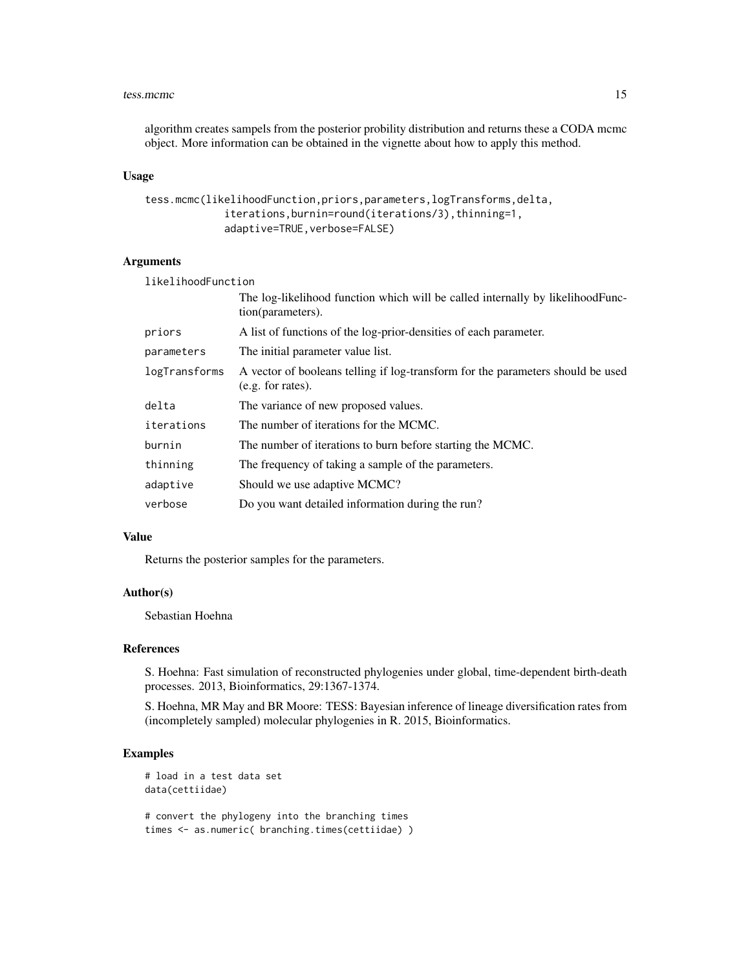#### tess.mcmc and the state of the state of the state of the state of the state of the state of the state of the state of the state of the state of the state of the state of the state of the state of the state of the state of

algorithm creates sampels from the posterior probility distribution and returns these a CODA mcmc object. More information can be obtained in the vignette about how to apply this method.

#### Usage

```
tess.mcmc(likelihoodFunction,priors,parameters,logTransforms,delta,
             iterations,burnin=round(iterations/3),thinning=1,
             adaptive=TRUE,verbose=FALSE)
```
## Arguments

| likelihoodFunction |                                                                                                      |
|--------------------|------------------------------------------------------------------------------------------------------|
|                    | The log-likelihood function which will be called internally by likelihood Func-<br>tion(parameters). |
| priors             | A list of functions of the log-prior-densities of each parameter.                                    |
| parameters         | The initial parameter value list.                                                                    |
| logTransforms      | A vector of booleans telling if log-transform for the parameters should be used<br>(e.g. for rates). |
| delta              | The variance of new proposed values.                                                                 |
| iterations         | The number of iterations for the MCMC.                                                               |
| burnin             | The number of iterations to burn before starting the MCMC.                                           |
| thinning           | The frequency of taking a sample of the parameters.                                                  |
| adaptive           | Should we use adaptive MCMC?                                                                         |
| verbose            | Do you want detailed information during the run?                                                     |

#### Value

Returns the posterior samples for the parameters.

## Author(s)

Sebastian Hoehna

#### References

S. Hoehna: Fast simulation of reconstructed phylogenies under global, time-dependent birth-death processes. 2013, Bioinformatics, 29:1367-1374.

S. Hoehna, MR May and BR Moore: TESS: Bayesian inference of lineage diversification rates from (incompletely sampled) molecular phylogenies in R. 2015, Bioinformatics.

# Examples

```
# load in a test data set
data(cettiidae)
```
# convert the phylogeny into the branching times times <- as.numeric( branching.times(cettiidae) )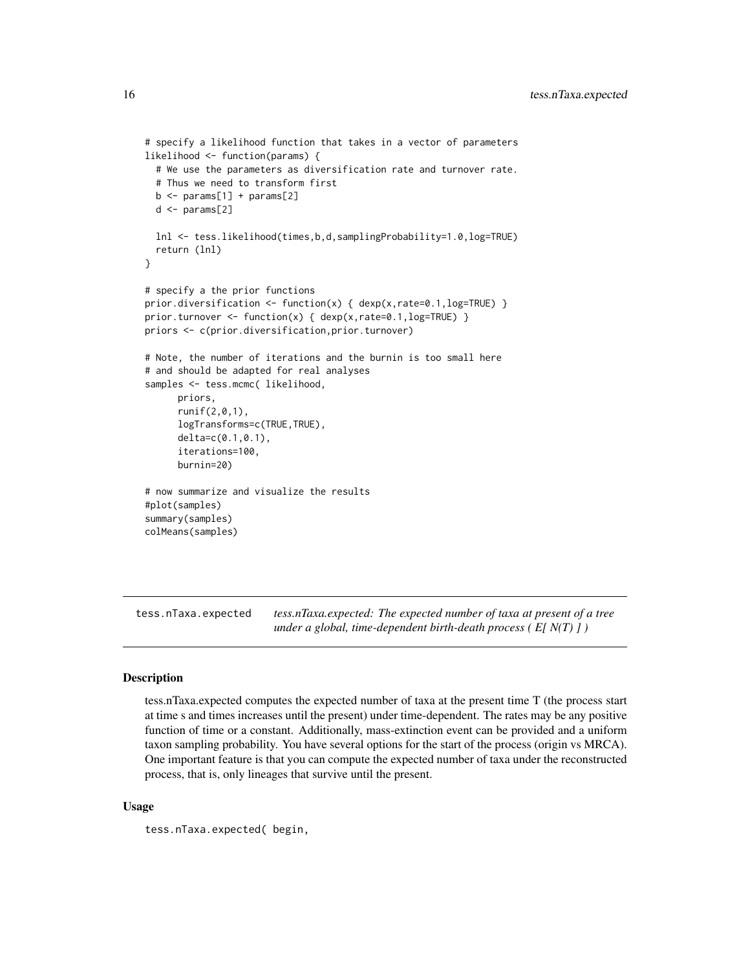```
# specify a likelihood function that takes in a vector of parameters
likelihood <- function(params) {
 # We use the parameters as diversification rate and turnover rate.
 # Thus we need to transform first
 b \leq params[1] + params[2]
 d \leftarrow params[2]
 lnl <- tess.likelihood(times,b,d,samplingProbability=1.0,log=TRUE)
 return (lnl)
}
# specify a the prior functions
prior.diversification <- function(x) { dexp(x,rate=0.1,log=TRUE) }
prior.turnover <- function(x) { dexp(x,rate=0.1,log=TRUE) }
priors <- c(prior.diversification,prior.turnover)
# Note, the number of iterations and the burnin is too small here
# and should be adapted for real analyses
samples <- tess.mcmc( likelihood,
      priors,
      runif(2,0,1),
      logTransforms=c(TRUE,TRUE),
      delta=c(0.1,0.1),
      iterations=100,
      burnin=20)
# now summarize and visualize the results
#plot(samples)
summary(samples)
colMeans(samples)
```
tess.nTaxa.expected *tess.nTaxa.expected: The expected number of taxa at present of a tree under a global, time-dependent birth-death process ( E[ N(T) ] )*

## Description

tess.nTaxa.expected computes the expected number of taxa at the present time T (the process start at time s and times increases until the present) under time-dependent. The rates may be any positive function of time or a constant. Additionally, mass-extinction event can be provided and a uniform taxon sampling probability. You have several options for the start of the process (origin vs MRCA). One important feature is that you can compute the expected number of taxa under the reconstructed process, that is, only lineages that survive until the present.

#### Usage

tess.nTaxa.expected( begin,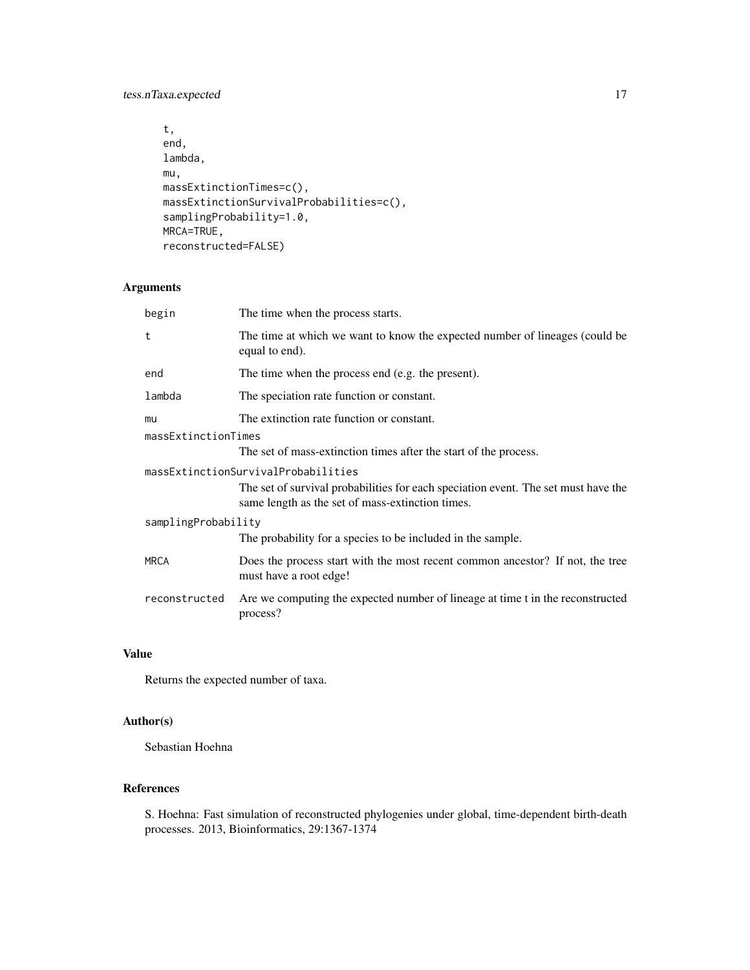tess.nTaxa.expected 17

```
t,
end,
lambda,
mu,
massExtinctionTimes=c(),
massExtinctionSurvivalProbabilities=c(),
samplingProbability=1.0,
MRCA=TRUE,
reconstructed=FALSE)
```
# Arguments

| begin                     | The time when the process starts.                                                                                                      |  |  |  |  |
|---------------------------|----------------------------------------------------------------------------------------------------------------------------------------|--|--|--|--|
| t                         | The time at which we want to know the expected number of lineages (could be<br>equal to end).                                          |  |  |  |  |
| end                       | The time when the process end (e.g. the present).                                                                                      |  |  |  |  |
| lambda                    | The speciation rate function or constant.                                                                                              |  |  |  |  |
| mu<br>massExtinctionTimes | The extinction rate function or constant.                                                                                              |  |  |  |  |
|                           | The set of mass-extinction times after the start of the process.                                                                       |  |  |  |  |
|                           | massExtinctionSurvivalProbabilities                                                                                                    |  |  |  |  |
|                           | The set of survival probabilities for each speciation event. The set must have the<br>same length as the set of mass-extinction times. |  |  |  |  |
| samplingProbability       |                                                                                                                                        |  |  |  |  |
|                           | The probability for a species to be included in the sample.                                                                            |  |  |  |  |
| <b>MRCA</b>               | Does the process start with the most recent common ancestor? If not, the tree<br>must have a root edge!                                |  |  |  |  |
| reconstructed             | Are we computing the expected number of lineage at time t in the reconstructed<br>process?                                             |  |  |  |  |

# Value

Returns the expected number of taxa.

# Author(s)

Sebastian Hoehna

# References

S. Hoehna: Fast simulation of reconstructed phylogenies under global, time-dependent birth-death processes. 2013, Bioinformatics, 29:1367-1374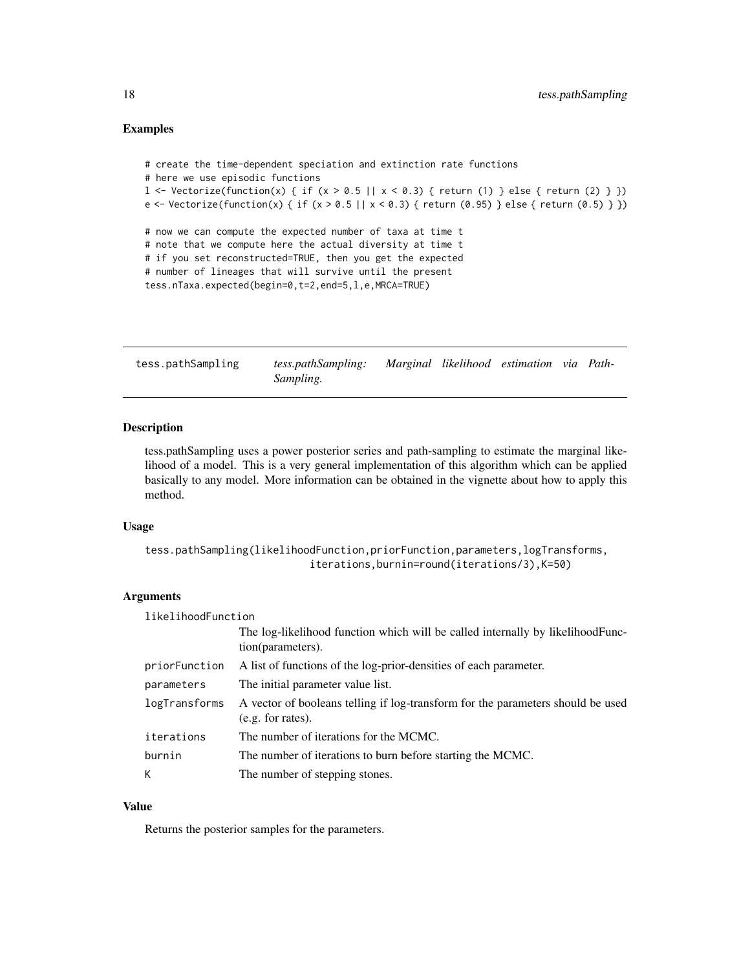## <span id="page-17-0"></span>Examples

```
# create the time-dependent speciation and extinction rate functions
# here we use episodic functions
l <- Vectorize(function(x) { if (x > 0.5 || x < 0.3) { return (1) } else { return (2) } })
e <- Vectorize(function(x) { if (x > 0.5 || x < 0.3) { return (0.95) } else { return (0.5) } })
# now we can compute the expected number of taxa at time t
# note that we compute here the actual diversity at time t
# if you set reconstructed=TRUE, then you get the expected
# number of lineages that will survive until the present
tess.nTaxa.expected(begin=0,t=2,end=5,l,e,MRCA=TRUE)
```
tess.pathSampling *tess.pathSampling: Marginal likelihood estimation via Path-Sampling.*

# Description

tess.pathSampling uses a power posterior series and path-sampling to estimate the marginal likelihood of a model. This is a very general implementation of this algorithm which can be applied basically to any model. More information can be obtained in the vignette about how to apply this method.

#### Usage

```
tess.pathSampling(likelihoodFunction,priorFunction,parameters,logTransforms,
                           iterations,burnin=round(iterations/3),K=50)
```
# Arguments

| likelihoodFunction |                                                                                                      |  |  |  |  |
|--------------------|------------------------------------------------------------------------------------------------------|--|--|--|--|
|                    | The log-likelihood function which will be called internally by likelihoodFunc-<br>tion(parameters).  |  |  |  |  |
| priorFunction      | A list of functions of the log-prior-densities of each parameter.                                    |  |  |  |  |
| parameters         | The initial parameter value list.                                                                    |  |  |  |  |
| logTransforms      | A vector of booleans telling if log-transform for the parameters should be used<br>(e.g. for rates). |  |  |  |  |
| iterations         | The number of iterations for the MCMC.                                                               |  |  |  |  |
| burnin             | The number of iterations to burn before starting the MCMC.                                           |  |  |  |  |
| К                  | The number of stepping stones.                                                                       |  |  |  |  |

#### Value

Returns the posterior samples for the parameters.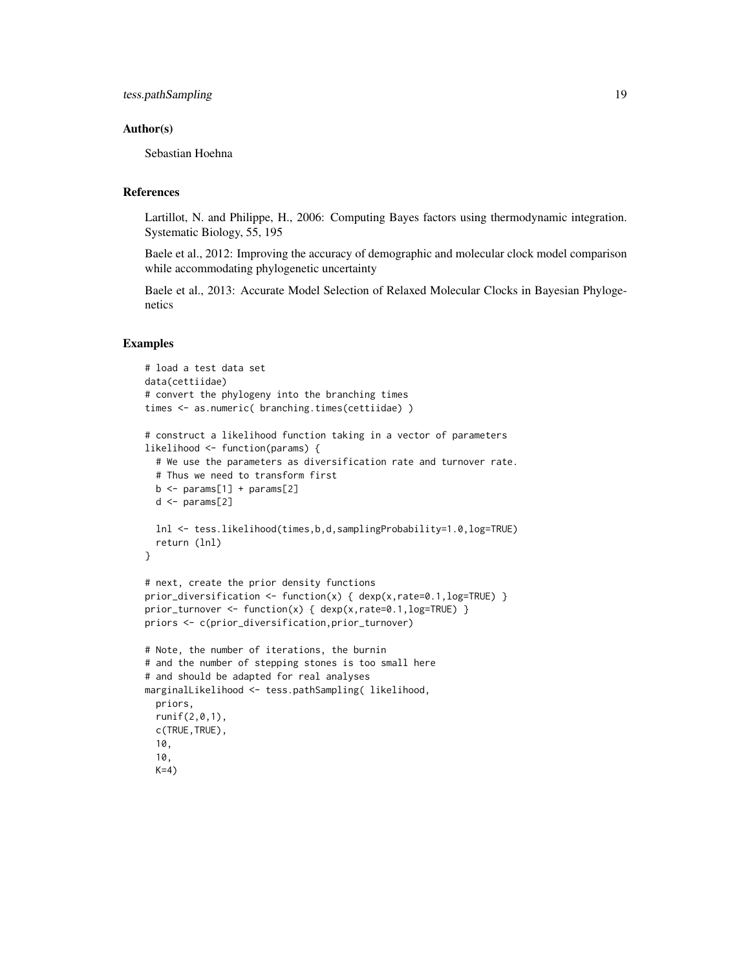## Author(s)

Sebastian Hoehna

# **References**

Lartillot, N. and Philippe, H., 2006: Computing Bayes factors using thermodynamic integration. Systematic Biology, 55, 195

Baele et al., 2012: Improving the accuracy of demographic and molecular clock model comparison while accommodating phylogenetic uncertainty

Baele et al., 2013: Accurate Model Selection of Relaxed Molecular Clocks in Bayesian Phylogenetics

```
# load a test data set
data(cettiidae)
# convert the phylogeny into the branching times
times <- as.numeric( branching.times(cettiidae) )
# construct a likelihood function taking in a vector of parameters
likelihood <- function(params) {
  # We use the parameters as diversification rate and turnover rate.
  # Thus we need to transform first
  b \le params[1] + params[2]
  d \leq params[2]
  lnl <- tess.likelihood(times,b,d,samplingProbability=1.0,log=TRUE)
  return (lnl)
}
# next, create the prior density functions
prior_diversification <- function(x) { dexp(x, rate=0.1, log=TRUE) }
prior_turnover <- function(x) { dexp(x,rate=0.1,log=TRUE) }
priors <- c(prior_diversification,prior_turnover)
# Note, the number of iterations, the burnin
# and the number of stepping stones is too small here
# and should be adapted for real analyses
marginalLikelihood <- tess.pathSampling( likelihood,
  priors,
  runif(2,0,1),
  c(TRUE,TRUE),
  10,
  10,
  K=4)
```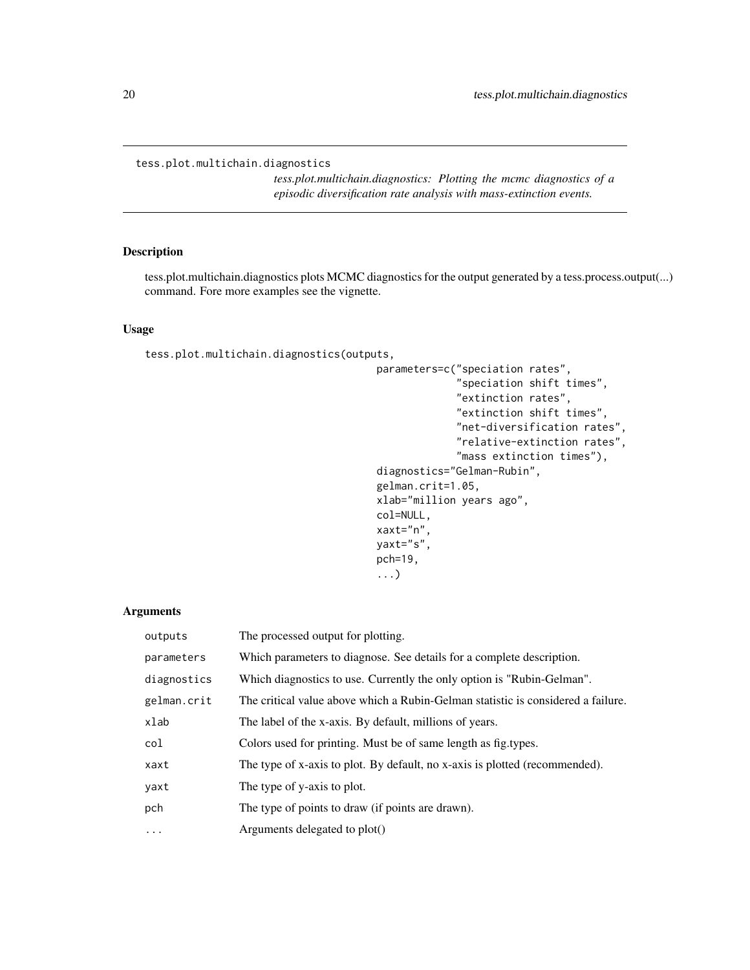## <span id="page-19-0"></span>tess.plot.multichain.diagnostics

*tess.plot.multichain.diagnostics: Plotting the mcmc diagnostics of a episodic diversification rate analysis with mass-extinction events.*

# Description

tess.plot.multichain.diagnostics plots MCMC diagnostics for the output generated by a tess.process.output(...) command. Fore more examples see the vignette.

# Usage

tess.plot.multichain.diagnostics(outputs,

```
parameters=c("speciation rates",
             "speciation shift times",
             "extinction rates",
             "extinction shift times",
             "net-diversification rates",
             "relative-extinction rates",
             "mass extinction times"),
diagnostics="Gelman-Rubin",
gelman.crit=1.05,
xlab="million years ago",
col=NULL,
xaxt="n",
yaxt="s",
pch=19,
...)
```
#### Arguments

| outputs     | The processed output for plotting.                                               |
|-------------|----------------------------------------------------------------------------------|
| parameters  | Which parameters to diagnose. See details for a complete description.            |
| diagnostics | Which diagnostics to use. Currently the only option is "Rubin-Gelman".           |
| gelman.crit | The critical value above which a Rubin-Gelman statistic is considered a failure. |
| xlab        | The label of the x-axis. By default, millions of years.                          |
| col         | Colors used for printing. Must be of same length as fig. types.                  |
| xaxt        | The type of x-axis to plot. By default, no x-axis is plotted (recommended).      |
| yaxt        | The type of y-axis to plot.                                                      |
| pch         | The type of points to draw (if points are drawn).                                |
| $\cdots$    | Arguments delegated to plot()                                                    |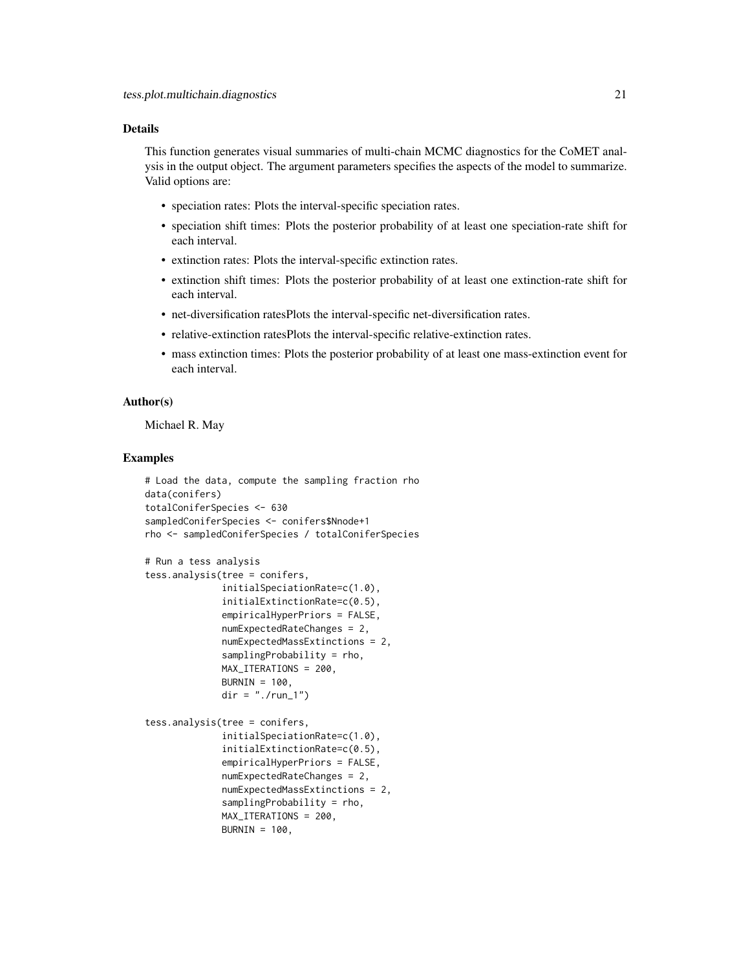# Details

This function generates visual summaries of multi-chain MCMC diagnostics for the CoMET analysis in the output object. The argument parameters specifies the aspects of the model to summarize. Valid options are:

- speciation rates: Plots the interval-specific speciation rates.
- speciation shift times: Plots the posterior probability of at least one speciation-rate shift for each interval.
- extinction rates: Plots the interval-specific extinction rates.
- extinction shift times: Plots the posterior probability of at least one extinction-rate shift for each interval.
- net-diversification ratesPlots the interval-specific net-diversification rates.
- relative-extinction ratesPlots the interval-specific relative-extinction rates.
- mass extinction times: Plots the posterior probability of at least one mass-extinction event for each interval.

## Author(s)

Michael R. May

```
# Load the data, compute the sampling fraction rho
data(conifers)
totalConiferSpecies <- 630
sampledConiferSpecies <- conifers$Nnode+1
rho <- sampledConiferSpecies / totalConiferSpecies
# Run a tess analysis
tess.analysis(tree = conifers,
              initialSpeciationRate=c(1.0),
              initialExtinctionRate=c(0.5),
              empiricalHyperPriors = FALSE,
              numExpectedRateChanges = 2,
             numExpectedMassExtinctions = 2,
              samplingProbability = rho,
             MAX_ITERATIONS = 200,
             BURNIN = 100,
             dir = "./run_1")tess.analysis(tree = conifers,
              initialSpeciationRate=c(1.0),
              initialExtinctionRate=c(0.5),
              empiricalHyperPriors = FALSE,
              numExpectedRateChanges = 2,
              numExpectedMassExtinctions = 2,
              samplingProbability = rho,
             MAX_ITERATIONS = 200,
             BURNIN = 100,
```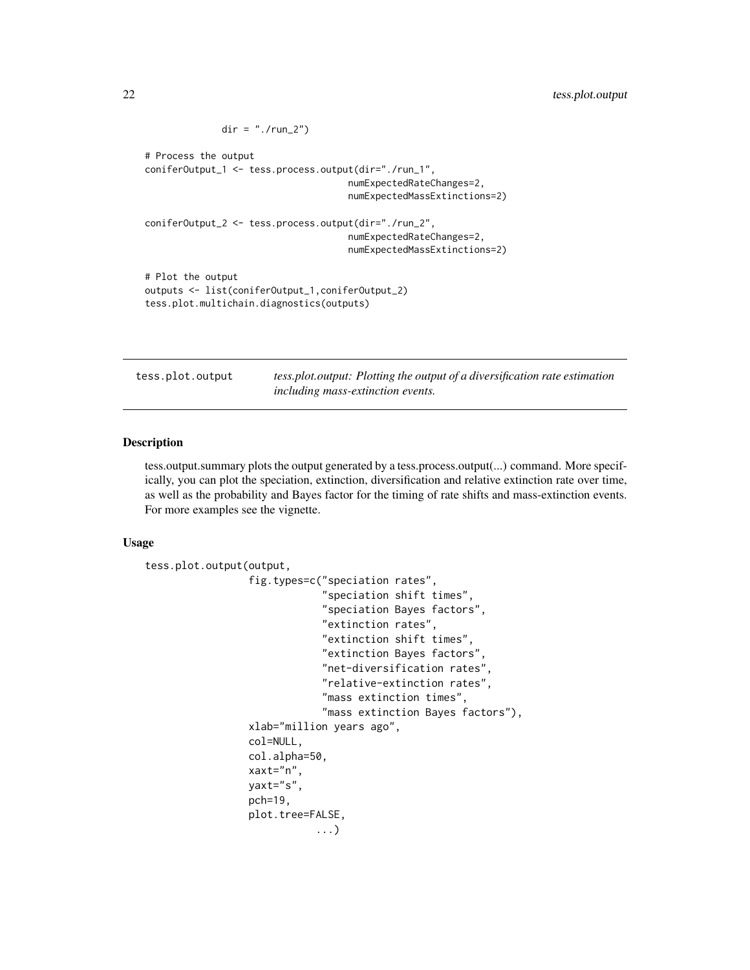```
dir = "./run_2")# Process the output
coniferOutput_1 <- tess.process.output(dir="./run_1",
                                     numExpectedRateChanges=2,
                                     numExpectedMassExtinctions=2)
coniferOutput_2 <- tess.process.output(dir="./run_2",
                                     numExpectedRateChanges=2,
                                     numExpectedMassExtinctions=2)
# Plot the output
outputs <- list(coniferOutput_1,coniferOutput_2)
tess.plot.multichain.diagnostics(outputs)
```
tess.plot.output *tess.plot.output: Plotting the output of a diversification rate estimation including mass-extinction events.*

## Description

tess.output.summary plots the output generated by a tess.process.output(...) command. More specifically, you can plot the speciation, extinction, diversification and relative extinction rate over time, as well as the probability and Bayes factor for the timing of rate shifts and mass-extinction events. For more examples see the vignette.

## Usage

```
tess.plot.output(output,
                 fig.types=c("speciation rates",
                              "speciation shift times",
                              "speciation Bayes factors",
                              "extinction rates",
                              "extinction shift times",
                              "extinction Bayes factors",
                              "net-diversification rates",
                              "relative-extinction rates",
                              "mass extinction times",
                              "mass extinction Bayes factors"),
                 xlab="million years ago",
                 col=NULL,
                 col.alpha=50,
                 xaxt="n",
                 yaxt="s",
                 pch=19,
                 plot.tree=FALSE,
                            ...)
```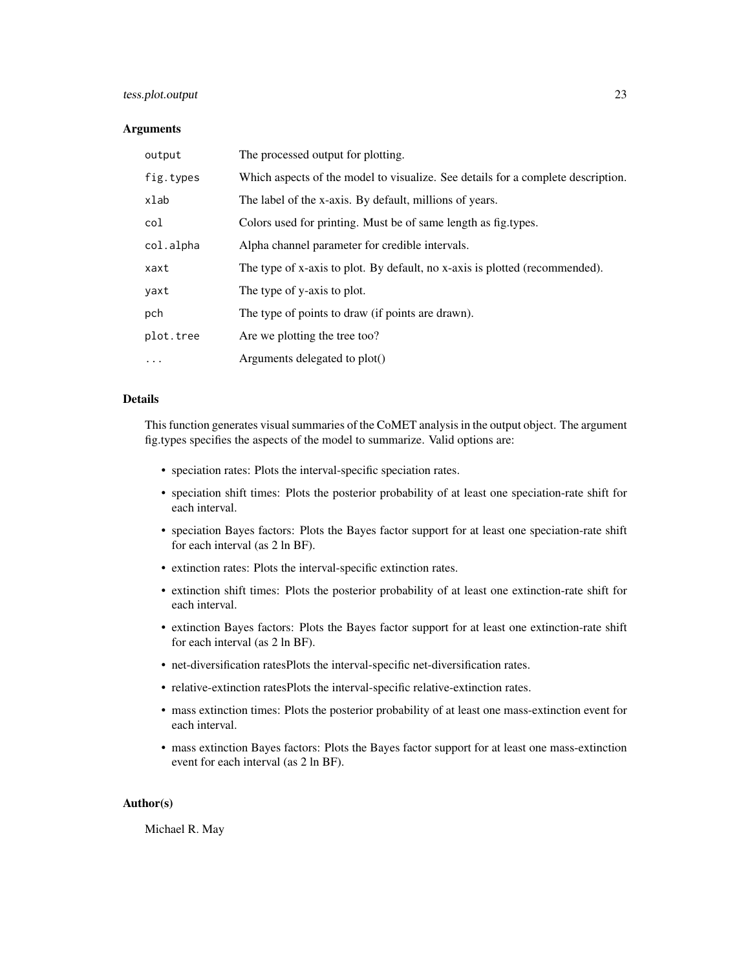# tess.plot.output 23

# Arguments

| output    | The processed output for plotting.                                               |
|-----------|----------------------------------------------------------------------------------|
| fig.types | Which aspects of the model to visualize. See details for a complete description. |
| xlab      | The label of the x-axis. By default, millions of years.                          |
| col       | Colors used for printing. Must be of same length as fig. types.                  |
| col.alpha | Alpha channel parameter for credible intervals.                                  |
| xaxt      | The type of x-axis to plot. By default, no x-axis is plotted (recommended).      |
| yaxt      | The type of y-axis to plot.                                                      |
| pch       | The type of points to draw (if points are drawn).                                |
| plot.tree | Are we plotting the tree too?                                                    |
| $\ddotsc$ | Arguments delegated to plot()                                                    |

# Details

This function generates visual summaries of the CoMET analysis in the output object. The argument fig.types specifies the aspects of the model to summarize. Valid options are:

- speciation rates: Plots the interval-specific speciation rates.
- speciation shift times: Plots the posterior probability of at least one speciation-rate shift for each interval.
- speciation Bayes factors: Plots the Bayes factor support for at least one speciation-rate shift for each interval (as 2 ln BF).
- extinction rates: Plots the interval-specific extinction rates.
- extinction shift times: Plots the posterior probability of at least one extinction-rate shift for each interval.
- extinction Bayes factors: Plots the Bayes factor support for at least one extinction-rate shift for each interval (as 2 ln BF).
- net-diversification ratesPlots the interval-specific net-diversification rates.
- relative-extinction ratesPlots the interval-specific relative-extinction rates.
- mass extinction times: Plots the posterior probability of at least one mass-extinction event for each interval.
- mass extinction Bayes factors: Plots the Bayes factor support for at least one mass-extinction event for each interval (as 2 ln BF).

## Author(s)

Michael R. May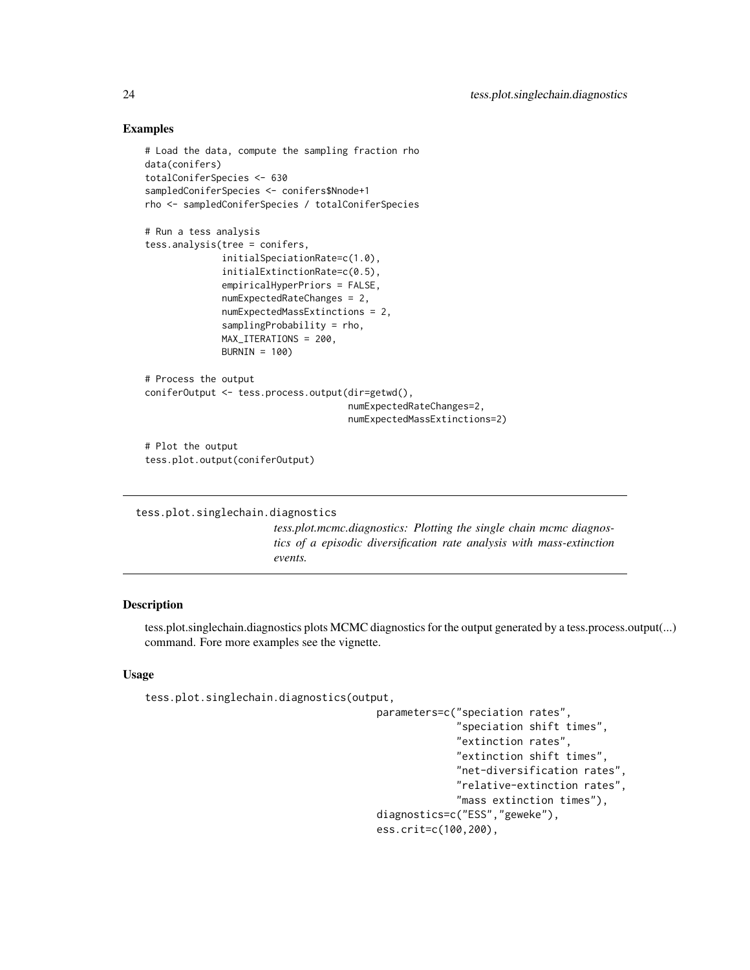# Examples

```
# Load the data, compute the sampling fraction rho
data(conifers)
totalConiferSpecies <- 630
sampledConiferSpecies <- conifers$Nnode+1
rho <- sampledConiferSpecies / totalConiferSpecies
# Run a tess analysis
tess.analysis(tree = conifers,
              initialSpeciationRate=c(1.0),
              initialExtinctionRate=c(0.5),
              empiricalHyperPriors = FALSE,
              numExpectedRateChanges = 2,
             numExpectedMassExtinctions = 2,
              samplingProbability = rho,
             MAX_ITERATIONS = 200,
             BURNIN = 100)
# Process the output
coniferOutput <- tess.process.output(dir=getwd(),
                                     numExpectedRateChanges=2,
                                     numExpectedMassExtinctions=2)
# Plot the output
tess.plot.output(coniferOutput)
```

```
tess.plot.singlechain.diagnostics
```
*tess.plot.mcmc.diagnostics: Plotting the single chain mcmc diagnostics of a episodic diversification rate analysis with mass-extinction events.*

# Description

tess.plot.singlechain.diagnostics plots MCMC diagnostics for the output generated by a tess.process.output(...) command. Fore more examples see the vignette.

## Usage

```
tess.plot.singlechain.diagnostics(output,
```
parameters=c("speciation rates", "speciation shift times", "extinction rates", "extinction shift times", "net-diversification rates", "relative-extinction rates", "mass extinction times"), diagnostics=c("ESS","geweke"), ess.crit=c(100,200),

<span id="page-23-0"></span>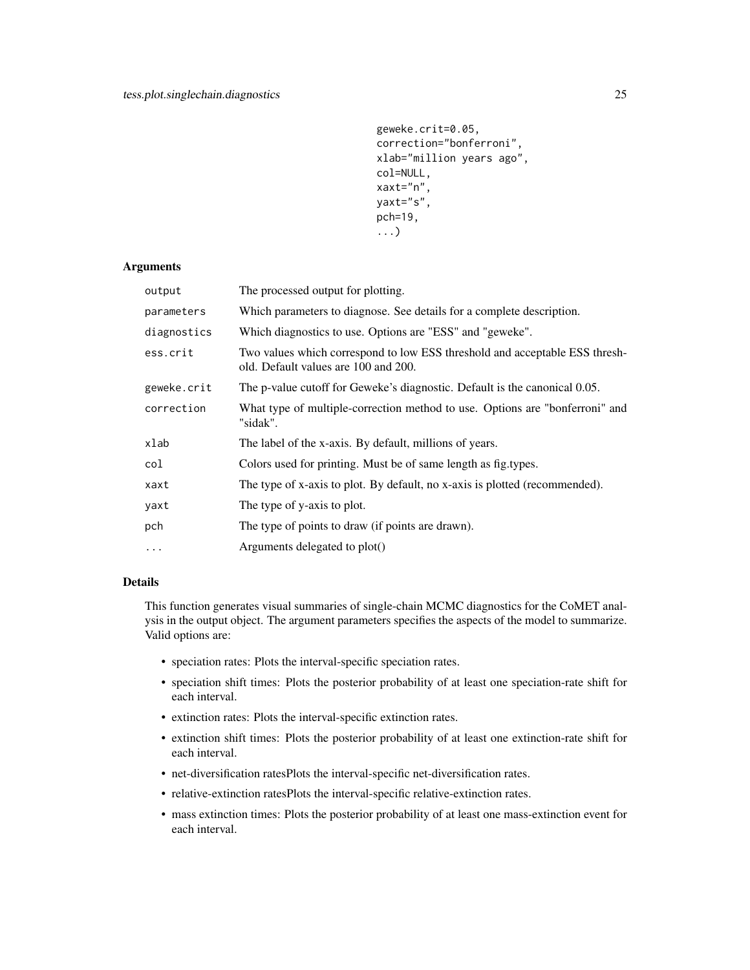```
geweke.crit=0.05,
correction="bonferroni",
xlab="million years ago",
col=NULL,
xaxt="n",
yaxt="s",
pch=19,
...)
```
## Arguments

| output      | The processed output for plotting.                                                                                  |
|-------------|---------------------------------------------------------------------------------------------------------------------|
| parameters  | Which parameters to diagnose. See details for a complete description.                                               |
| diagnostics | Which diagnostics to use. Options are "ESS" and "geweke".                                                           |
| ess.crit    | Two values which correspond to low ESS threshold and acceptable ESS thresh-<br>old. Default values are 100 and 200. |
| geweke.crit | The p-value cutoff for Geweke's diagnostic. Default is the canonical 0.05.                                          |
| correction  | What type of multiple-correction method to use. Options are "bonferroni" and<br>"sidak".                            |
| xlab        | The label of the x-axis. By default, millions of years.                                                             |
| col         | Colors used for printing. Must be of same length as fig. types.                                                     |
| xaxt        | The type of x-axis to plot. By default, no x-axis is plotted (recommended).                                         |
| yaxt        | The type of y-axis to plot.                                                                                         |
| pch         | The type of points to draw (if points are drawn).                                                                   |
| $\cdots$    | Arguments delegated to plot()                                                                                       |
|             |                                                                                                                     |

# Details

This function generates visual summaries of single-chain MCMC diagnostics for the CoMET analysis in the output object. The argument parameters specifies the aspects of the model to summarize. Valid options are:

- speciation rates: Plots the interval-specific speciation rates.
- speciation shift times: Plots the posterior probability of at least one speciation-rate shift for each interval.
- extinction rates: Plots the interval-specific extinction rates.
- extinction shift times: Plots the posterior probability of at least one extinction-rate shift for each interval.
- net-diversification ratesPlots the interval-specific net-diversification rates.
- relative-extinction ratesPlots the interval-specific relative-extinction rates.
- mass extinction times: Plots the posterior probability of at least one mass-extinction event for each interval.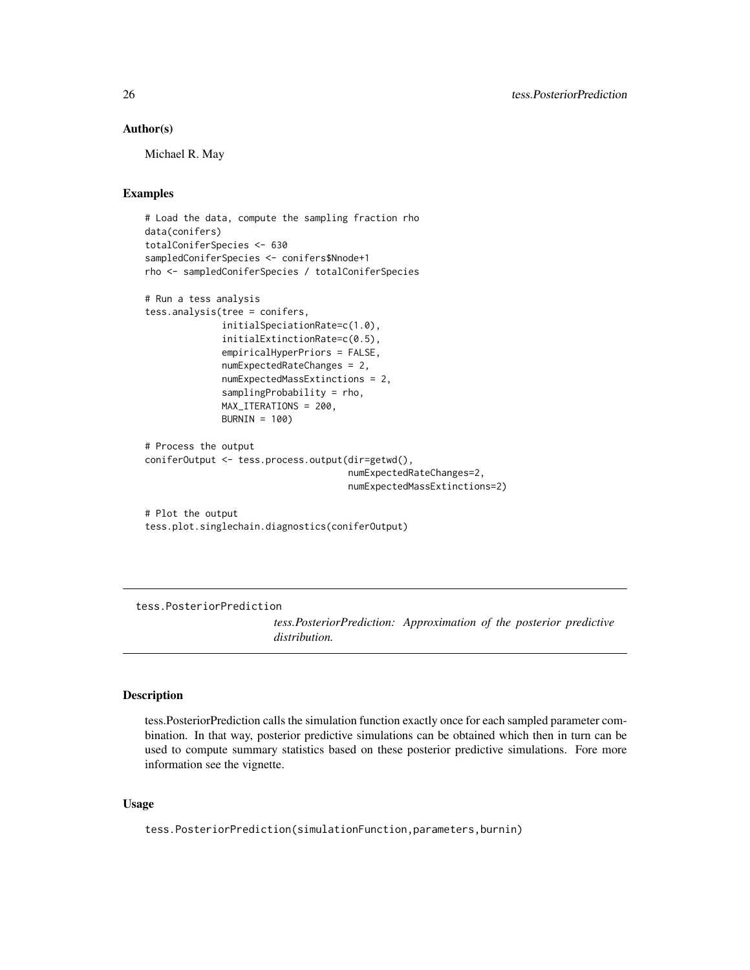## <span id="page-25-0"></span>Author(s)

Michael R. May

## Examples

```
# Load the data, compute the sampling fraction rho
data(conifers)
totalConiferSpecies <- 630
sampledConiferSpecies <- conifers$Nnode+1
rho <- sampledConiferSpecies / totalConiferSpecies
# Run a tess analysis
tess.analysis(tree = conifers,
             initialSpeciationRate=c(1.0),
             initialExtinctionRate=c(0.5),
              empiricalHyperPriors = FALSE,
              numExpectedRateChanges = 2,
              numExpectedMassExtinctions = 2,
              samplingProbability = rho,
             MAX_ITERATIONS = 200,
             BURNIN = 100)
# Process the output
coniferOutput <- tess.process.output(dir=getwd(),
                                     numExpectedRateChanges=2,
                                     numExpectedMassExtinctions=2)
# Plot the output
tess.plot.singlechain.diagnostics(coniferOutput)
```
tess.PosteriorPrediction

*tess.PosteriorPrediction: Approximation of the posterior predictive distribution.*

#### Description

tess.PosteriorPrediction calls the simulation function exactly once for each sampled parameter combination. In that way, posterior predictive simulations can be obtained which then in turn can be used to compute summary statistics based on these posterior predictive simulations. Fore more information see the vignette.

## Usage

tess.PosteriorPrediction(simulationFunction,parameters,burnin)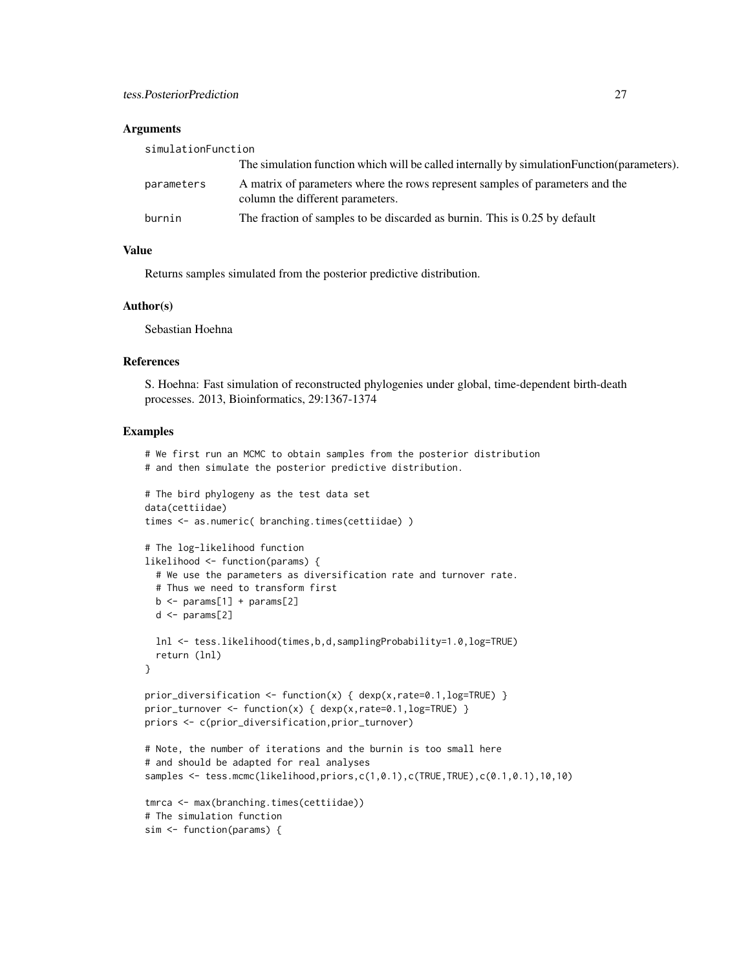### **Arguments**

| simulationFunction |                                                                                                                   |
|--------------------|-------------------------------------------------------------------------------------------------------------------|
|                    | The simulation function which will be called internally by simulation Function (parameters).                      |
| parameters         | A matrix of parameters where the rows represent samples of parameters and the<br>column the different parameters. |
| burnin             | The fraction of samples to be discarded as burnin. This is 0.25 by default                                        |

# Value

Returns samples simulated from the posterior predictive distribution.

#### Author(s)

Sebastian Hoehna

#### References

S. Hoehna: Fast simulation of reconstructed phylogenies under global, time-dependent birth-death processes. 2013, Bioinformatics, 29:1367-1374

```
# We first run an MCMC to obtain samples from the posterior distribution
# and then simulate the posterior predictive distribution.
# The bird phylogeny as the test data set
data(cettiidae)
times <- as.numeric( branching.times(cettiidae) )
# The log-likelihood function
likelihood <- function(params) {
  # We use the parameters as diversification rate and turnover rate.
  # Thus we need to transform first
  b \le params[1] + params[2]
  d \leq params[2]
  lnl <- tess.likelihood(times,b,d,samplingProbability=1.0,log=TRUE)
  return (lnl)
}
prior_diversification <- function(x) { dexp(x, rate=0.1, log=TRUE) }
prior_turnover <- function(x) { dexp(x,rate=0.1,log=TRUE) }
priors <- c(prior_diversification,prior_turnover)
# Note, the number of iterations and the burnin is too small here
# and should be adapted for real analyses
samples <- tess.mcmc(likelihood,priors,c(1,0.1),c(TRUE,TRUE),c(0.1,0.1),10,10)
tmrca <- max(branching.times(cettiidae))
# The simulation function
sim <- function(params) {
```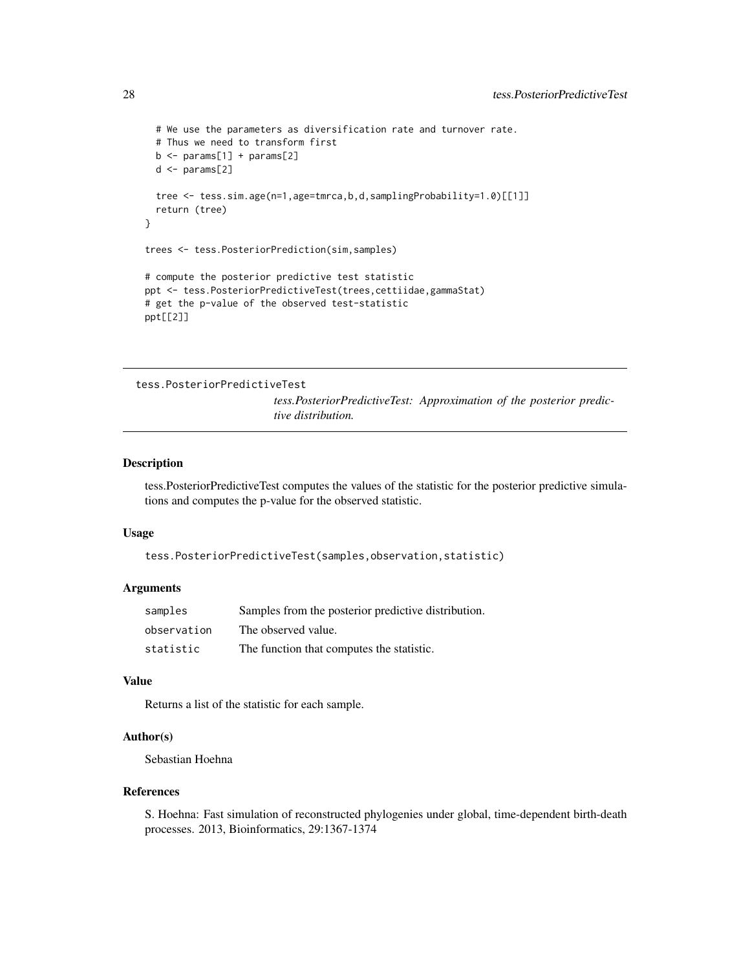```
# We use the parameters as diversification rate and turnover rate.
 # Thus we need to transform first
 b \leftarrow params[1] + params[2]
 d \leftarrow params[2]
 tree <- tess.sim.age(n=1,age=tmrca,b,d,samplingProbability=1.0)[[1]]
 return (tree)
}
trees <- tess.PosteriorPrediction(sim,samples)
# compute the posterior predictive test statistic
ppt <- tess.PosteriorPredictiveTest(trees,cettiidae,gammaStat)
# get the p-value of the observed test-statistic
ppt[[2]]
```

```
tess.PosteriorPredictiveTest
```
*tess.PosteriorPredictiveTest: Approximation of the posterior predictive distribution.*

#### Description

tess.PosteriorPredictiveTest computes the values of the statistic for the posterior predictive simulations and computes the p-value for the observed statistic.

#### Usage

```
tess.PosteriorPredictiveTest(samples,observation,statistic)
```
#### **Arguments**

| samples     | Samples from the posterior predictive distribution. |
|-------------|-----------------------------------------------------|
| observation | The observed value.                                 |
| statistic   | The function that computes the statistic.           |

## Value

Returns a list of the statistic for each sample.

#### Author(s)

Sebastian Hoehna

#### References

S. Hoehna: Fast simulation of reconstructed phylogenies under global, time-dependent birth-death processes. 2013, Bioinformatics, 29:1367-1374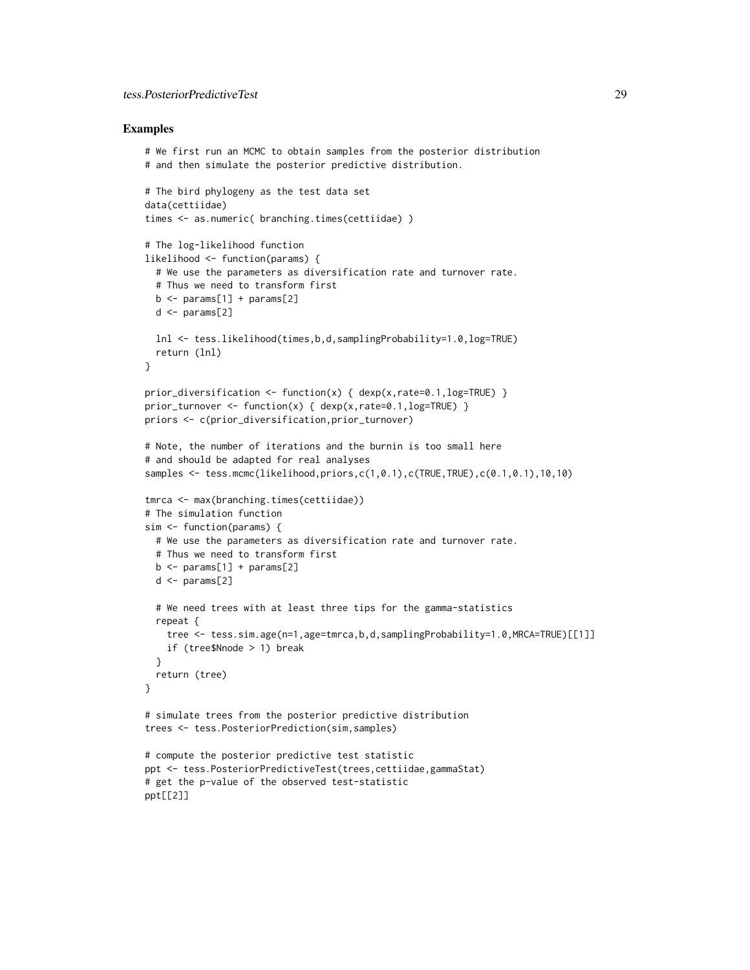# tess.PosteriorPredictiveTest 29

```
# We first run an MCMC to obtain samples from the posterior distribution
# and then simulate the posterior predictive distribution.
# The bird phylogeny as the test data set
data(cettiidae)
times <- as.numeric( branching.times(cettiidae) )
# The log-likelihood function
likelihood <- function(params) {
 # We use the parameters as diversification rate and turnover rate.
 # Thus we need to transform first
 b \leq params[1] + params[2]
 d \leftarrow params[2]
 lnl <- tess.likelihood(times,b,d,samplingProbability=1.0,log=TRUE)
 return (lnl)
}
prior_diversification <- function(x) { dexp(x,rate=0.1,log=TRUE) }
prior_turnover <- function(x) { dexp(x,rate=0.1,log=TRUE) }
priors <- c(prior_diversification,prior_turnover)
# Note, the number of iterations and the burnin is too small here
# and should be adapted for real analyses
samples <- tess.mcmc(likelihood,priors,c(1,0.1),c(TRUE,TRUE),c(0.1,0.1),10,10)
tmrca <- max(branching.times(cettiidae))
# The simulation function
sim <- function(params) {
 # We use the parameters as diversification rate and turnover rate.
 # Thus we need to transform first
 b \leq params[1] + params[2]
 d \leftarrow params[2]
 # We need trees with at least three tips for the gamma-statistics
 repeat {
    tree <- tess.sim.age(n=1,age=tmrca,b,d,samplingProbability=1.0,MRCA=TRUE)[[1]]
   if (tree$Nnode > 1) break
 }
 return (tree)
}
# simulate trees from the posterior predictive distribution
trees <- tess.PosteriorPrediction(sim,samples)
# compute the posterior predictive test statistic
ppt <- tess.PosteriorPredictiveTest(trees,cettiidae,gammaStat)
# get the p-value of the observed test-statistic
ppt[[2]]
```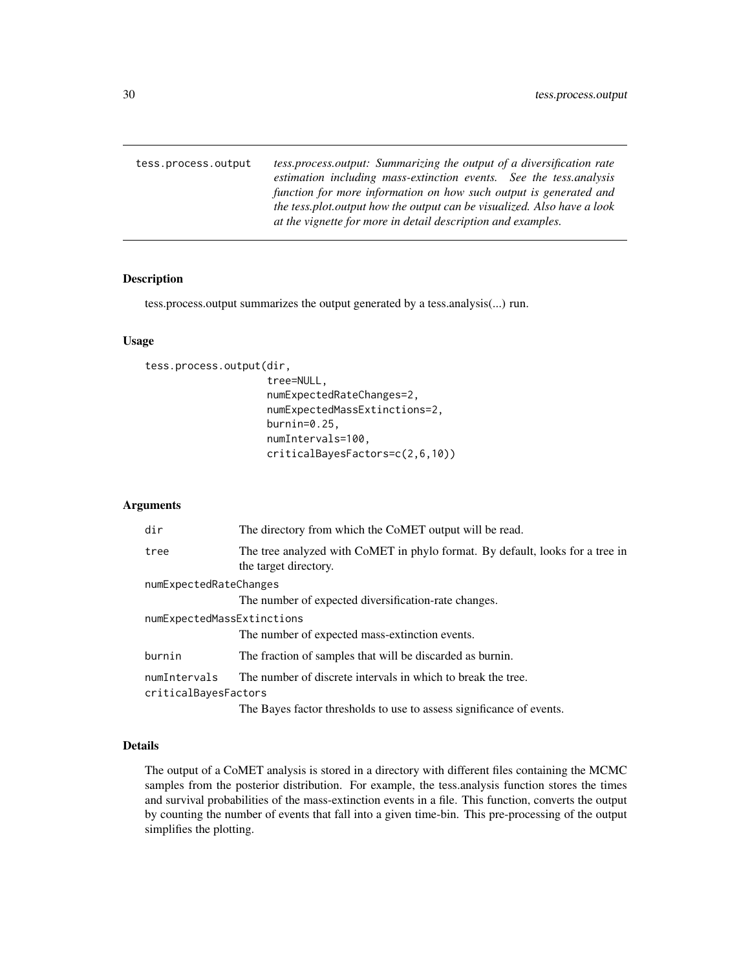<span id="page-29-0"></span>tess.process.output *tess.process.output: Summarizing the output of a diversification rate estimation including mass-extinction events. See the tess.analysis function for more information on how such output is generated and the tess.plot.output how the output can be visualized. Also have a look at the vignette for more in detail description and examples.*

## Description

tess.process.output summarizes the output generated by a tess.analysis(...) run.

## Usage

```
tess.process.output(dir,
```

```
tree=NULL,
numExpectedRateChanges=2,
numExpectedMassExtinctions=2,
burnin=0.25,
numIntervals=100,
criticalBayesFactors=c(2,6,10))
```
# Arguments

| dir                        | The directory from which the CoMET output will be read.                                                |
|----------------------------|--------------------------------------------------------------------------------------------------------|
| tree                       | The tree analyzed with CoMET in phylo format. By default, looks for a tree in<br>the target directory. |
| numExpectedRateChanges     |                                                                                                        |
|                            | The number of expected diversification-rate changes.                                                   |
| numExpectedMassExtinctions |                                                                                                        |
|                            | The number of expected mass-extinction events.                                                         |
| burnin                     | The fraction of samples that will be discarded as burnin.                                              |
| numIntervals               | The number of discrete intervals in which to break the tree.                                           |
| criticalBayesFactors       |                                                                                                        |
|                            | The Bayes factor thresholds to use to assess significance of events.                                   |

# Details

The output of a CoMET analysis is stored in a directory with different files containing the MCMC samples from the posterior distribution. For example, the tess.analysis function stores the times and survival probabilities of the mass-extinction events in a file. This function, converts the output by counting the number of events that fall into a given time-bin. This pre-processing of the output simplifies the plotting.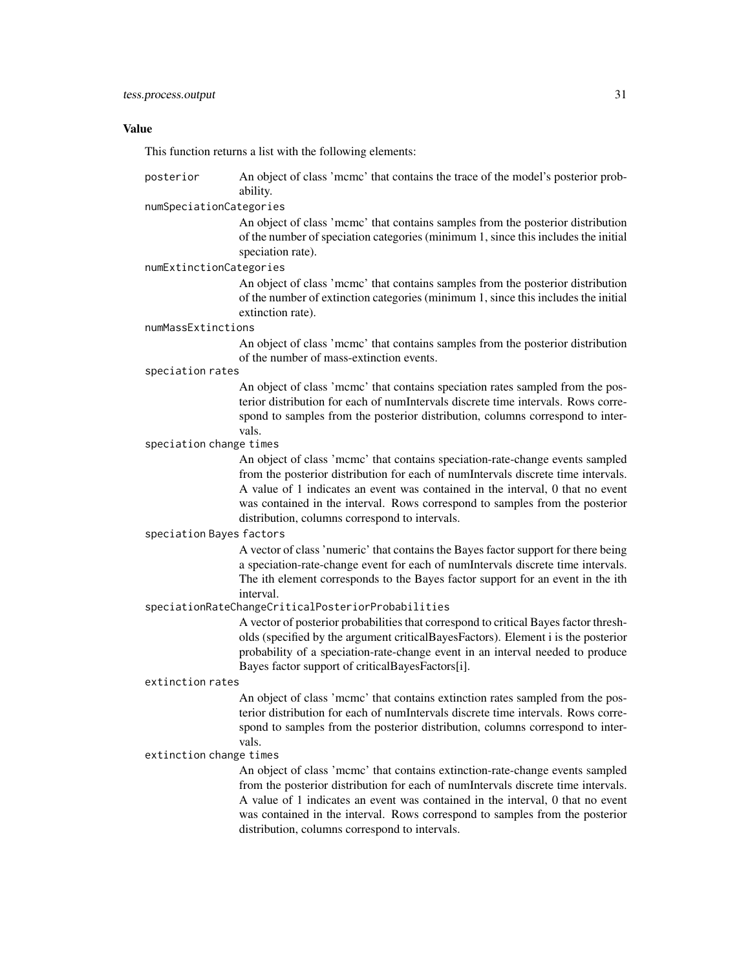#### Value

This function returns a list with the following elements:

posterior An object of class 'mcmc' that contains the trace of the model's posterior probability.

#### numSpeciationCategories

An object of class 'mcmc' that contains samples from the posterior distribution of the number of speciation categories (minimum 1, since this includes the initial speciation rate).

#### numExtinctionCategories

An object of class 'mcmc' that contains samples from the posterior distribution of the number of extinction categories (minimum 1, since this includes the initial extinction rate).

#### numMassExtinctions

An object of class 'mcmc' that contains samples from the posterior distribution of the number of mass-extinction events.

#### speciation rates

An object of class 'mcmc' that contains speciation rates sampled from the posterior distribution for each of numIntervals discrete time intervals. Rows correspond to samples from the posterior distribution, columns correspond to intervals.

#### speciation change times

An object of class 'mcmc' that contains speciation-rate-change events sampled from the posterior distribution for each of numIntervals discrete time intervals. A value of 1 indicates an event was contained in the interval, 0 that no event was contained in the interval. Rows correspond to samples from the posterior distribution, columns correspond to intervals.

#### speciation Bayes factors

A vector of class 'numeric' that contains the Bayes factor support for there being a speciation-rate-change event for each of numIntervals discrete time intervals. The ith element corresponds to the Bayes factor support for an event in the ith interval.

#### speciationRateChangeCriticalPosteriorProbabilities

A vector of posterior probabilities that correspond to critical Bayes factor thresholds (specified by the argument criticalBayesFactors). Element i is the posterior probability of a speciation-rate-change event in an interval needed to produce Bayes factor support of criticalBayesFactors[i].

#### extinction rates

An object of class 'mcmc' that contains extinction rates sampled from the posterior distribution for each of numIntervals discrete time intervals. Rows correspond to samples from the posterior distribution, columns correspond to intervals.

#### extinction change times

An object of class 'mcmc' that contains extinction-rate-change events sampled from the posterior distribution for each of numIntervals discrete time intervals. A value of 1 indicates an event was contained in the interval, 0 that no event was contained in the interval. Rows correspond to samples from the posterior distribution, columns correspond to intervals.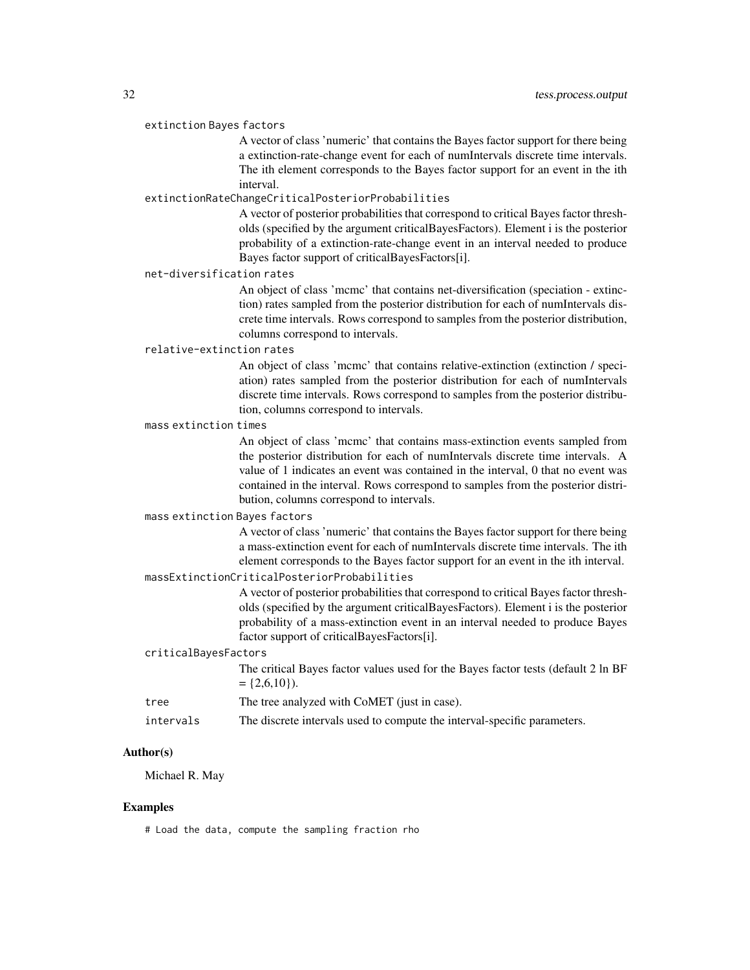#### extinction Bayes factors

A vector of class 'numeric' that contains the Bayes factor support for there being a extinction-rate-change event for each of numIntervals discrete time intervals. The ith element corresponds to the Bayes factor support for an event in the ith interval.

#### extinctionRateChangeCriticalPosteriorProbabilities

A vector of posterior probabilities that correspond to critical Bayes factor thresholds (specified by the argument criticalBayesFactors). Element i is the posterior probability of a extinction-rate-change event in an interval needed to produce Bayes factor support of criticalBayesFactors[i].

## net-diversification rates

An object of class 'mcmc' that contains net-diversification (speciation - extinction) rates sampled from the posterior distribution for each of numIntervals discrete time intervals. Rows correspond to samples from the posterior distribution, columns correspond to intervals.

## relative-extinction rates

An object of class 'mcmc' that contains relative-extinction (extinction / speciation) rates sampled from the posterior distribution for each of numIntervals discrete time intervals. Rows correspond to samples from the posterior distribution, columns correspond to intervals.

## mass extinction times

An object of class 'mcmc' that contains mass-extinction events sampled from the posterior distribution for each of numIntervals discrete time intervals. A value of 1 indicates an event was contained in the interval, 0 that no event was contained in the interval. Rows correspond to samples from the posterior distribution, columns correspond to intervals.

# mass extinction Bayes factors

A vector of class 'numeric' that contains the Bayes factor support for there being a mass-extinction event for each of numIntervals discrete time intervals. The ith element corresponds to the Bayes factor support for an event in the ith interval.

## massExtinctionCriticalPosteriorProbabilities

A vector of posterior probabilities that correspond to critical Bayes factor thresholds (specified by the argument criticalBayesFactors). Element i is the posterior probability of a mass-extinction event in an interval needed to produce Bayes factor support of criticalBayesFactors[i].

#### criticalBayesFactors

The critical Bayes factor values used for the Bayes factor tests (default 2 ln BF  $= \{2,6,10\}$ ).

- tree The tree analyzed with CoMET (just in case).
- intervals The discrete intervals used to compute the interval-specific parameters.

# Author(s)

Michael R. May

## Examples

# Load the data, compute the sampling fraction rho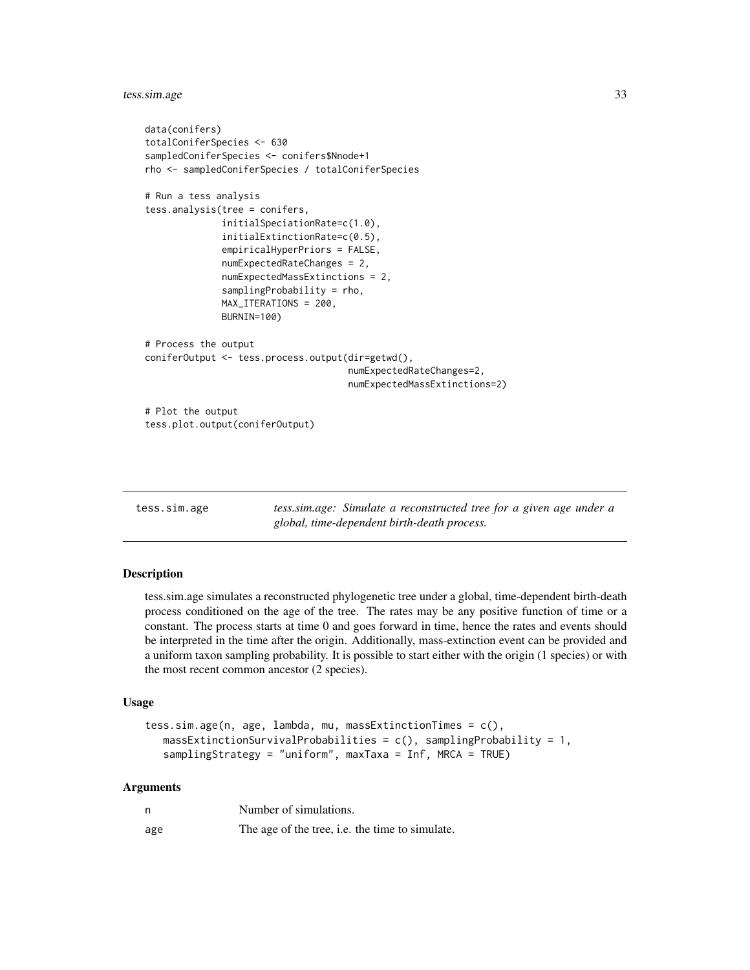<span id="page-32-0"></span>tess.sim.age 33

```
data(conifers)
totalConiferSpecies <- 630
sampledConiferSpecies <- conifers$Nnode+1
rho <- sampledConiferSpecies / totalConiferSpecies
# Run a tess analysis
tess.analysis(tree = conifers,
              initialSpeciationRate=c(1.0),
              initialExtinctionRate=c(0.5),
              empiricalHyperPriors = FALSE,
              numExpectedRateChanges = 2,
              numExpectedMassExtinctions = 2,
              samplingProbability = rho,
              MAX_ITERATIONS = 200,
              BURNIN=100)
# Process the output
coniferOutput <- tess.process.output(dir=getwd(),
                                     numExpectedRateChanges=2,
                                     numExpectedMassExtinctions=2)
# Plot the output
tess.plot.output(coniferOutput)
```

| tess.sim.age | tess.sim.age: Simulate a reconstructed tree for a given age under a |
|--------------|---------------------------------------------------------------------|
|              | global, time-dependent birth-death process.                         |

## **Description**

tess.sim.age simulates a reconstructed phylogenetic tree under a global, time-dependent birth-death process conditioned on the age of the tree. The rates may be any positive function of time or a constant. The process starts at time 0 and goes forward in time, hence the rates and events should be interpreted in the time after the origin. Additionally, mass-extinction event can be provided and a uniform taxon sampling probability. It is possible to start either with the origin (1 species) or with the most recent common ancestor (2 species).

#### Usage

```
tess.sim.age(n, age, lambda, mu, massExtinctionTimes = c(),
   massExtinctionSurvivalProbabilities = c(), samplingProbability = 1,
   samplingStrategy = "uniform", maxTaxa = Inf, MRCA = TRUE)
```
# Arguments

| n   | Number of simulations.                          |
|-----|-------------------------------------------------|
| age | The age of the tree, i.e. the time to simulate. |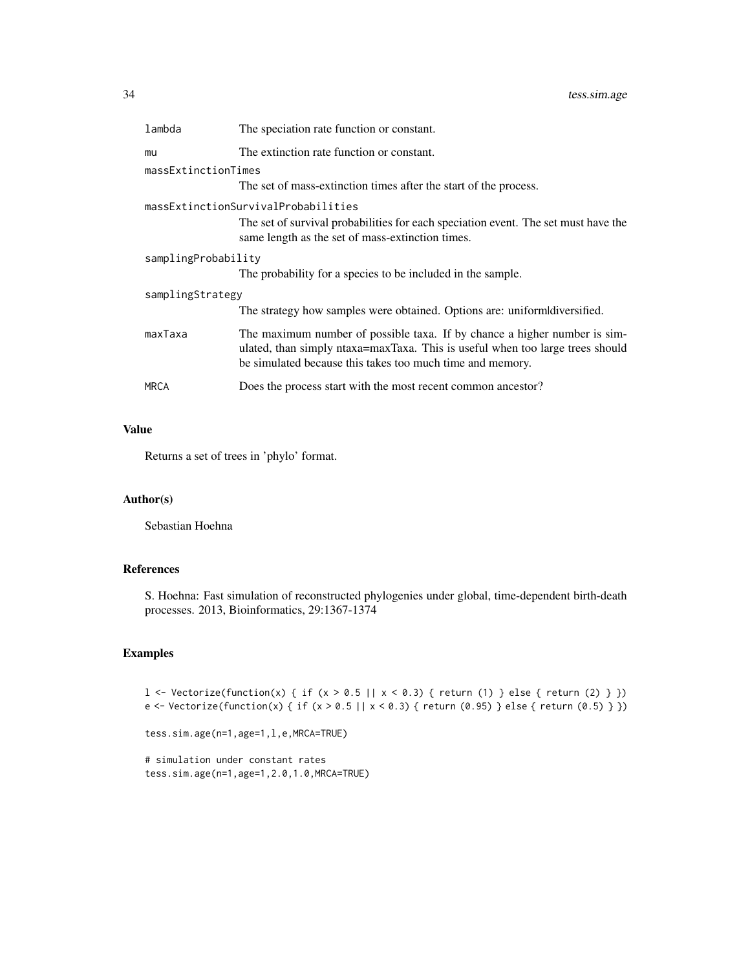34 tess.sim.age

| lambda              | The speciation rate function or constant.                                                                                                                                                                               |
|---------------------|-------------------------------------------------------------------------------------------------------------------------------------------------------------------------------------------------------------------------|
| mu                  | The extinction rate function or constant.                                                                                                                                                                               |
| massExtinctionTimes |                                                                                                                                                                                                                         |
|                     | The set of mass-extinction times after the start of the process.                                                                                                                                                        |
|                     | massExtinctionSurvivalProbabilities                                                                                                                                                                                     |
|                     | The set of survival probabilities for each speciation event. The set must have the<br>same length as the set of mass-extinction times.                                                                                  |
| samplingProbability |                                                                                                                                                                                                                         |
|                     | The probability for a species to be included in the sample.                                                                                                                                                             |
| samplingStrategy    |                                                                                                                                                                                                                         |
|                     | The strategy how samples were obtained. Options are: uniform diversified.                                                                                                                                               |
| maxTaxa             | The maximum number of possible taxa. If by chance a higher number is sim-<br>ulated, than simply ntaxa=maxTaxa. This is useful when too large trees should<br>be simulated because this takes too much time and memory. |
| <b>MRCA</b>         | Does the process start with the most recent common ancestor?                                                                                                                                                            |

# Value

Returns a set of trees in 'phylo' format.

# Author(s)

Sebastian Hoehna

# References

S. Hoehna: Fast simulation of reconstructed phylogenies under global, time-dependent birth-death processes. 2013, Bioinformatics, 29:1367-1374

```
l <- Vectorize(function(x) { if (x > 0.5 || x < 0.3) { return (1) } else { return (2) } })
e <- Vectorize(function(x) { if (x > 0.5 || x < 0.3) { return (0.95) } else { return (0.5) } })
```

```
tess.sim.age(n=1,age=1,l,e,MRCA=TRUE)
```

```
# simulation under constant rates
tess.sim.age(n=1,age=1,2.0,1.0,MRCA=TRUE)
```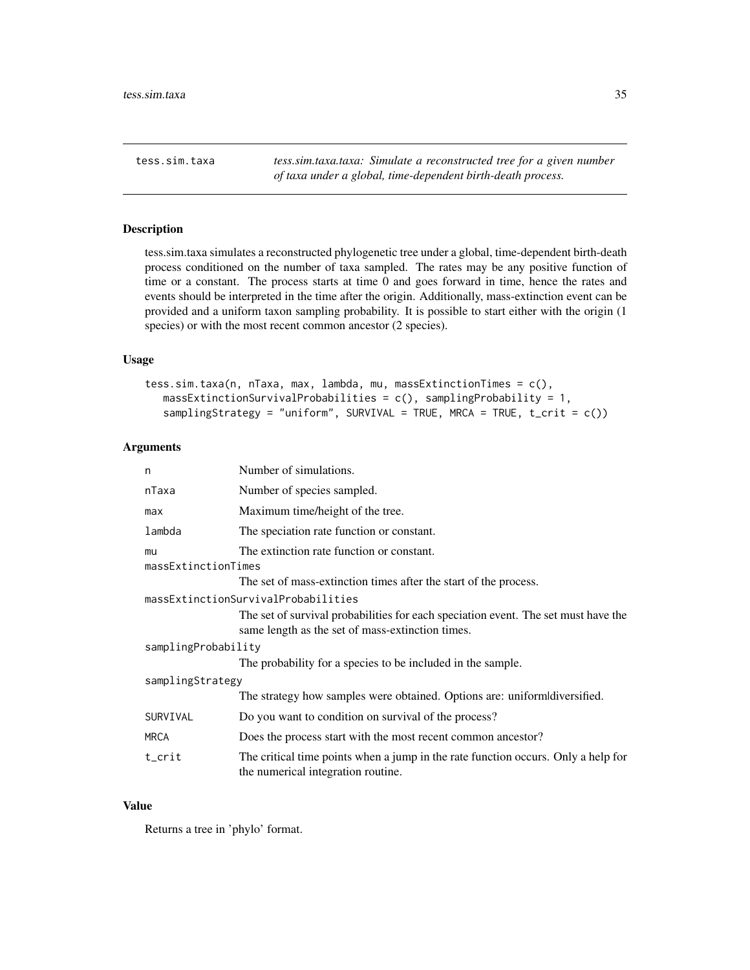<span id="page-34-0"></span>tess.sim.taxa *tess.sim.taxa.taxa: Simulate a reconstructed tree for a given number of taxa under a global, time-dependent birth-death process.*

#### Description

tess.sim.taxa simulates a reconstructed phylogenetic tree under a global, time-dependent birth-death process conditioned on the number of taxa sampled. The rates may be any positive function of time or a constant. The process starts at time 0 and goes forward in time, hence the rates and events should be interpreted in the time after the origin. Additionally, mass-extinction event can be provided and a uniform taxon sampling probability. It is possible to start either with the origin (1 species) or with the most recent common ancestor (2 species).

#### Usage

```
tess.sim.taxa(n, nTaxa, max, lambda, mu, massExtinctionTimes = c(),
  massExtinctionSurvivalProbabilities = c(), samplingProbability = 1,
   samplingStrategy = "uniform", SURVIVAL = TRUE, MRCA = TRUE, t_ccrit = c())
```
# Arguments

| n                   | Number of simulations.                                                                                                  |
|---------------------|-------------------------------------------------------------------------------------------------------------------------|
| nTaxa               | Number of species sampled.                                                                                              |
| max                 | Maximum time/height of the tree.                                                                                        |
| lambda              | The speciation rate function or constant.                                                                               |
| mu                  | The extinction rate function or constant.                                                                               |
| massExtinctionTimes |                                                                                                                         |
|                     | The set of mass-extinction times after the start of the process.                                                        |
|                     | massExtinctionSurvivalProbabilities                                                                                     |
|                     | The set of survival probabilities for each speciation event. The set must have the                                      |
|                     | same length as the set of mass-extinction times.                                                                        |
| samplingProbability |                                                                                                                         |
|                     | The probability for a species to be included in the sample.                                                             |
| samplingStrategy    |                                                                                                                         |
|                     | The strategy how samples were obtained. Options are: uniform diversified.                                               |
| SURVIVAL            | Do you want to condition on survival of the process?                                                                    |
| MRCA                | Does the process start with the most recent common ancestor?                                                            |
| t_crit              | The critical time points when a jump in the rate function occurs. Only a help for<br>the numerical integration routine. |

## Value

Returns a tree in 'phylo' format.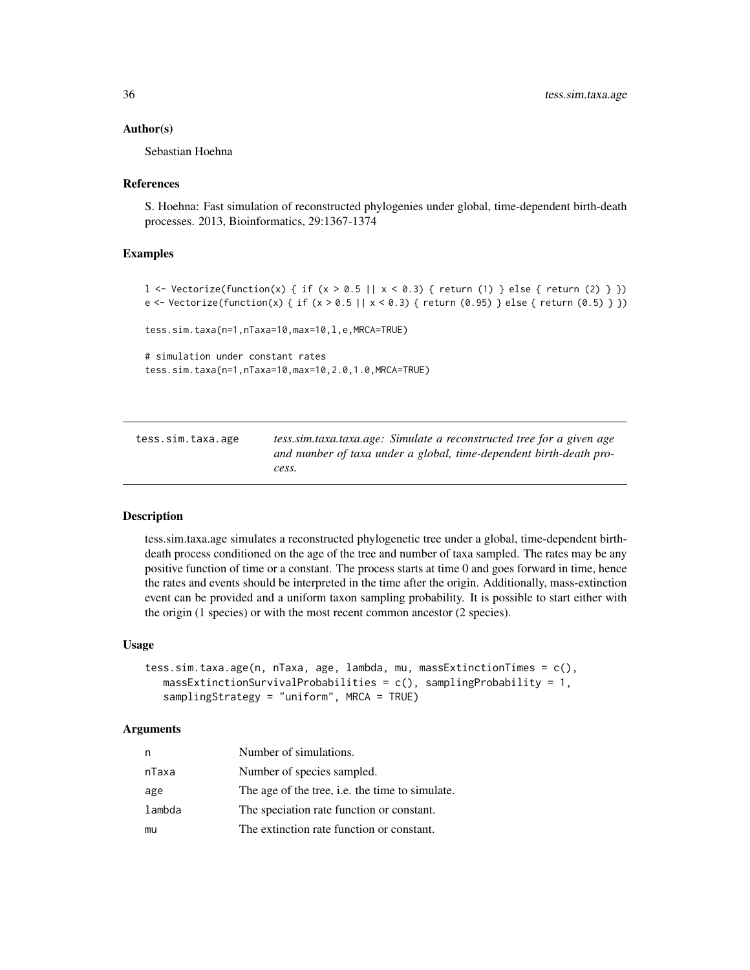#### <span id="page-35-0"></span>Author(s)

Sebastian Hoehna

#### References

S. Hoehna: Fast simulation of reconstructed phylogenies under global, time-dependent birth-death processes. 2013, Bioinformatics, 29:1367-1374

## Examples

```
1 <- Vectorize(function(x) { if (x > 0.5 || x < 0.3) { return (1) } else { return (2) } })
e <- Vectorize(function(x) { if (x > 0.5 || x < 0.3) { return (0.95) } else { return (0.5) } })
tess.sim.taxa(n=1,nTaxa=10,max=10,l,e,MRCA=TRUE)
# simulation under constant rates
tess.sim.taxa(n=1,nTaxa=10,max=10,2.0,1.0,MRCA=TRUE)
```
tess.sim.taxa.age *tess.sim.taxa.taxa.age: Simulate a reconstructed tree for a given age and number of taxa under a global, time-dependent birth-death process.*

#### Description

tess.sim.taxa.age simulates a reconstructed phylogenetic tree under a global, time-dependent birthdeath process conditioned on the age of the tree and number of taxa sampled. The rates may be any positive function of time or a constant. The process starts at time 0 and goes forward in time, hence the rates and events should be interpreted in the time after the origin. Additionally, mass-extinction event can be provided and a uniform taxon sampling probability. It is possible to start either with the origin (1 species) or with the most recent common ancestor (2 species).

#### Usage

```
tess.sim.taxa.age(n, nTaxa, age, lambda, mu, massExtinctionTimes = c(),
   massExtinctionSurvivalProbabilities = c(), samplingProbability = 1,
   samplingStrategy = "uniform", MRCA = TRUE)
```
#### Arguments

| n      | Number of simulations.                                 |
|--------|--------------------------------------------------------|
| nTaxa  | Number of species sampled.                             |
| age    | The age of the tree, <i>i.e.</i> the time to simulate. |
| lambda | The speciation rate function or constant.              |
| mu     | The extinction rate function or constant.              |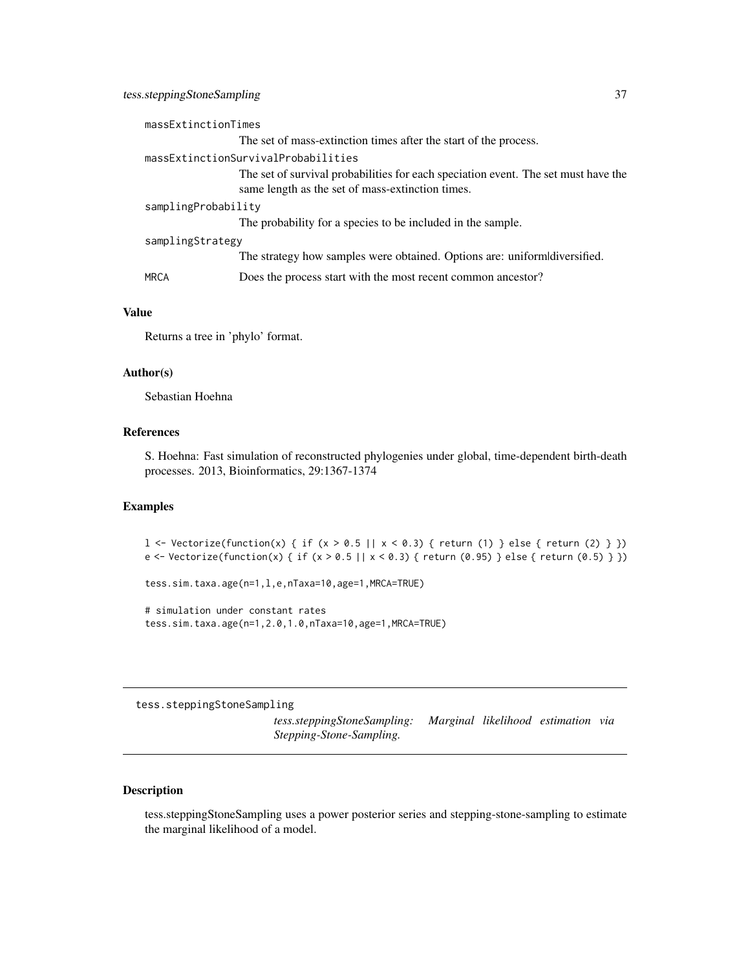<span id="page-36-0"></span>

#### Value

Returns a tree in 'phylo' format.

# Author(s)

Sebastian Hoehna

# References

S. Hoehna: Fast simulation of reconstructed phylogenies under global, time-dependent birth-death processes. 2013, Bioinformatics, 29:1367-1374

# Examples

l <- Vectorize(function(x) { if (x > 0.5 || x < 0.3) { return (1) } else { return (2) } }) e <- Vectorize(function(x) { if (x > 0.5 || x < 0.3) { return (0.95) } else { return (0.5) } })

tess.sim.taxa.age(n=1,l,e,nTaxa=10,age=1,MRCA=TRUE)

# simulation under constant rates tess.sim.taxa.age(n=1,2.0,1.0,nTaxa=10,age=1,MRCA=TRUE)

tess.steppingStoneSampling

*tess.steppingStoneSampling: Marginal likelihood estimation via Stepping-Stone-Sampling.*

# Description

tess.steppingStoneSampling uses a power posterior series and stepping-stone-sampling to estimate the marginal likelihood of a model.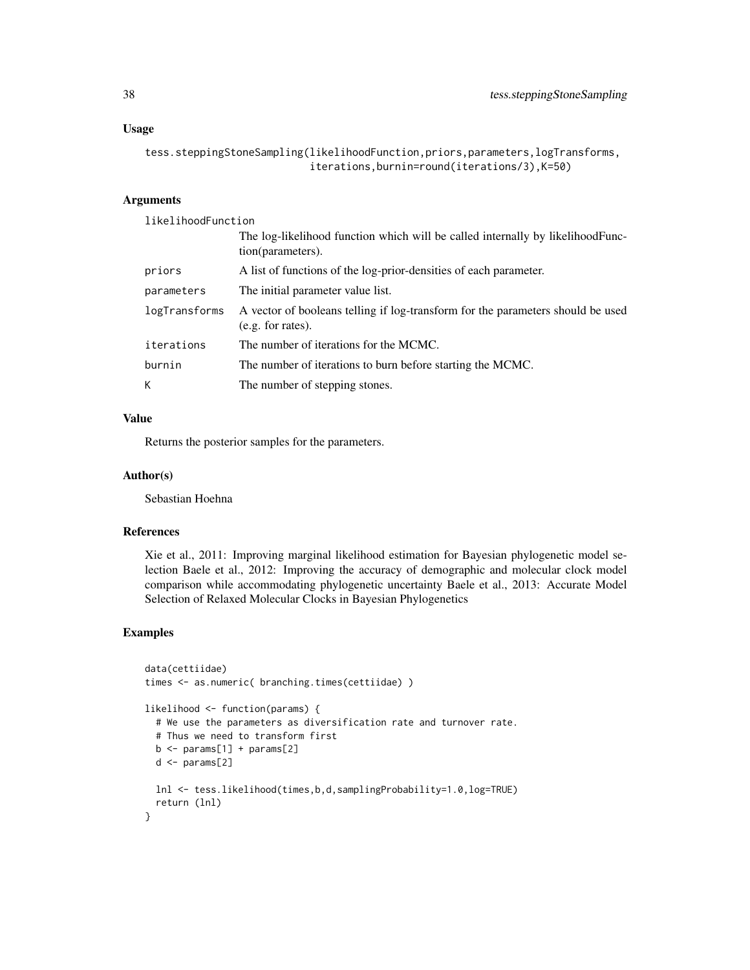```
tess.steppingStoneSampling(likelihoodFunction,priors,parameters,logTransforms,
                           iterations,burnin=round(iterations/3),K=50)
```
# Arguments

likelihoodFunction

|               | The log-likelihood function which will be called internally by likelihood Func-<br>tion(parameters). |
|---------------|------------------------------------------------------------------------------------------------------|
| priors        | A list of functions of the log-prior-densities of each parameter.                                    |
| parameters    | The initial parameter value list.                                                                    |
| logTransforms | A vector of booleans telling if log-transform for the parameters should be used<br>(e.g. for rates). |
| iterations    | The number of iterations for the MCMC.                                                               |
| burnin        | The number of iterations to burn before starting the MCMC.                                           |
| K             | The number of stepping stones.                                                                       |

# Value

Returns the posterior samples for the parameters.

#### Author(s)

Sebastian Hoehna

# References

Xie et al., 2011: Improving marginal likelihood estimation for Bayesian phylogenetic model selection Baele et al., 2012: Improving the accuracy of demographic and molecular clock model comparison while accommodating phylogenetic uncertainty Baele et al., 2013: Accurate Model Selection of Relaxed Molecular Clocks in Bayesian Phylogenetics

```
data(cettiidae)
times <- as.numeric( branching.times(cettiidae) )
likelihood <- function(params) {
  # We use the parameters as diversification rate and turnover rate.
  # Thus we need to transform first
  b \leq params[1] + params[2]
  d \leftarrow params[2]
  lnl <- tess.likelihood(times,b,d,samplingProbability=1.0,log=TRUE)
  return (lnl)
}
```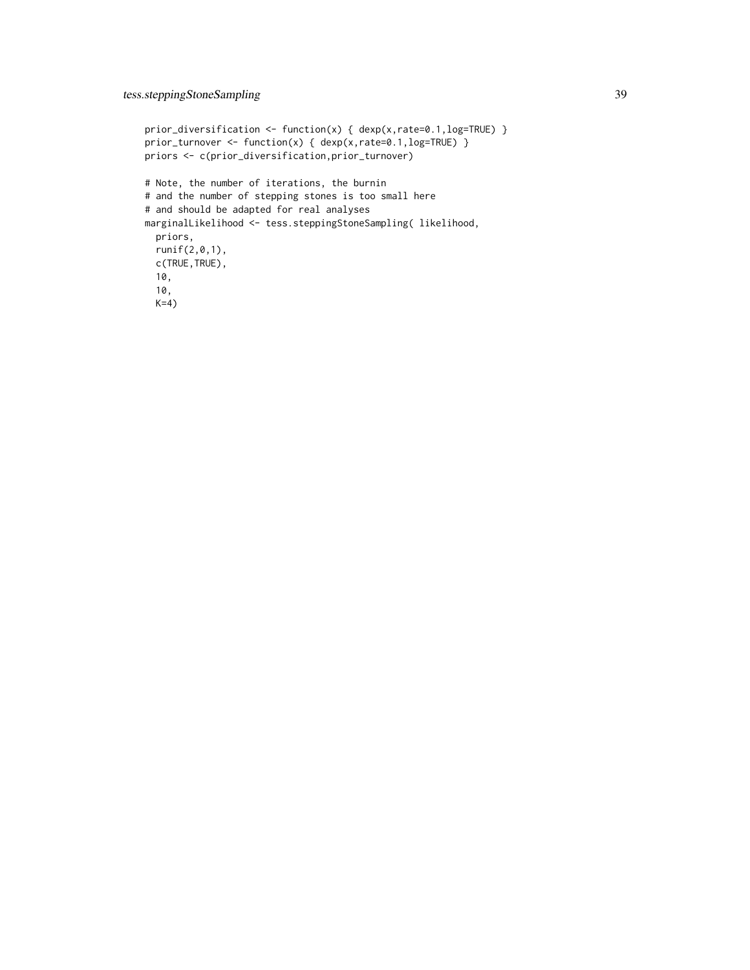```
prior_diversification <- function(x) { dexp(x,rate=0.1,log=TRUE) }
prior_turnover <- function(x) { dexp(x,rate=0.1,log=TRUE) }
priors <- c(prior_diversification,prior_turnover)
# Note, the number of iterations, the burnin
# and the number of stepping stones is too small here
# and should be adapted for real analyses
marginalLikelihood <- tess.steppingStoneSampling( likelihood,
  priors,
  runif(2,0,1),
  c(TRUE,TRUE),
  10,
  10,
  K=4)
```